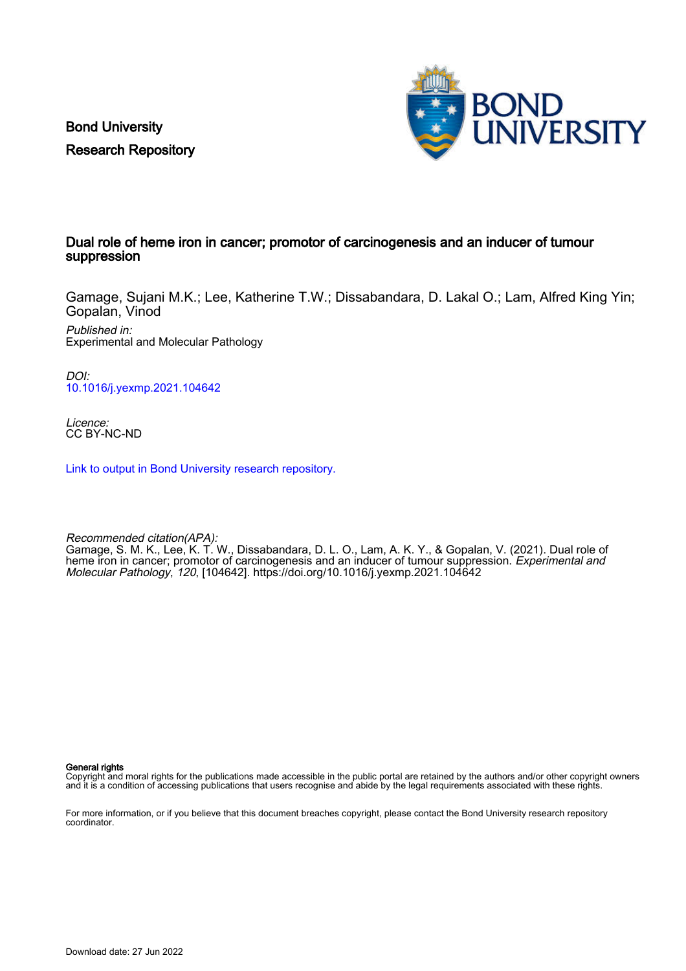Bond University Research Repository



### Dual role of heme iron in cancer; promotor of carcinogenesis and an inducer of tumour suppression

Gamage, Sujani M.K.; Lee, Katherine T.W.; Dissabandara, D. Lakal O.; Lam, Alfred King Yin; Gopalan, Vinod

Published in: Experimental and Molecular Pathology

DOI: [10.1016/j.yexmp.2021.104642](https://doi.org/10.1016/j.yexmp.2021.104642)

Licence: CC BY-NC-ND

[Link to output in Bond University research repository.](https://research.bond.edu.au/en/publications/c7c45526-0a30-4d06-8156-025f238a36d6)

Recommended citation(APA): Gamage, S. M. K., Lee, K. T. W., Dissabandara, D. L. O., Lam, A. K. Y., & Gopalan, V. (2021). Dual role of heme iron in cancer; promotor of carcinogenesis and an inducer of tumour suppression. Experimental and Molecular Pathology, 120, [104642]. <https://doi.org/10.1016/j.yexmp.2021.104642>

General rights

Copyright and moral rights for the publications made accessible in the public portal are retained by the authors and/or other copyright owners and it is a condition of accessing publications that users recognise and abide by the legal requirements associated with these rights.

For more information, or if you believe that this document breaches copyright, please contact the Bond University research repository coordinator.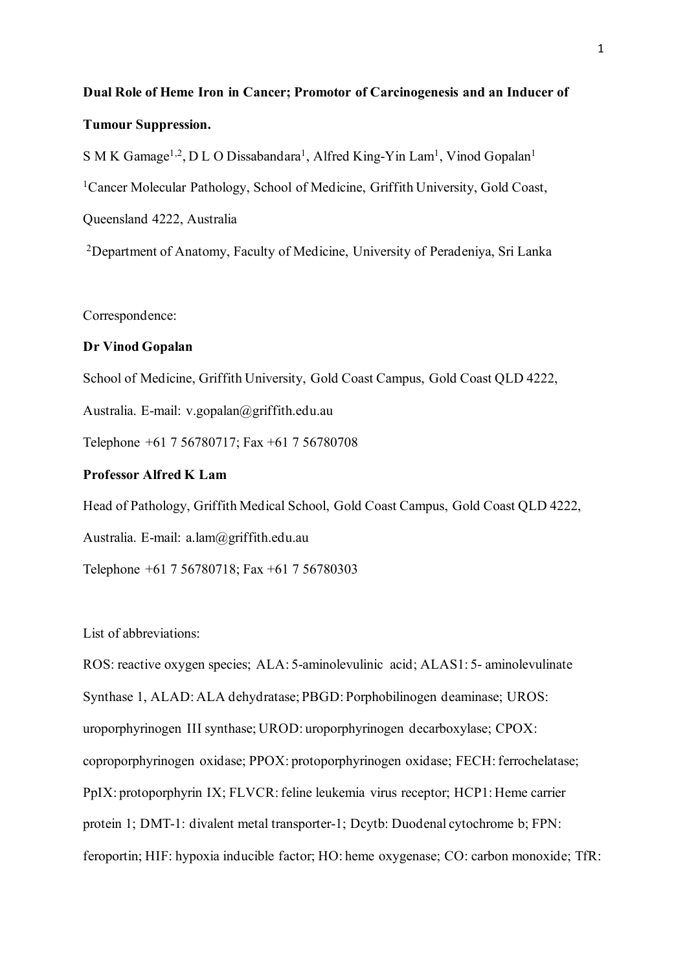# **Dual Role of Heme Iron in Cancer; Promotor of Carcinogenesis and an Inducer of Tumour Suppression.**

S M K Gamage<sup>1,2</sup>, D L O Dissabandara<sup>1</sup>, Alfred King-Yin Lam<sup>1</sup>, Vinod Gopalan<sup>1</sup> <sup>1</sup>Cancer Molecular Pathology, School of Medicine, Griffith University, Gold Coast, Queensland 4222, Australia

2Department of Anatomy, Faculty of Medicine, University of Peradeniya, Sri Lanka

Correspondence:

## **Dr Vinod Gopalan**

School of Medicine, Griffith University, Gold Coast Campus, Gold Coast QLD 4222,

Australia. E-mail: v.gopalan@griffith.edu.au

Telephone +61 7 56780717; Fax +61 7 56780708

## **Professor Alfred K Lam**

Head of Pathology, Griffith Medical School, Gold Coast Campus, Gold Coast QLD 4222,

Australia. E-mail: a.lam@griffith.edu.au

Telephone +61 7 56780718; Fax +61 7 56780303

List of abbreviations:

ROS: reactive oxygen species; ALA: 5-aminolevulinic acid; ALAS1: 5- aminolevulinate Synthase 1, ALAD: ALA dehydratase; PBGD: Porphobilinogen deaminase; UROS: uroporphyrinogen III synthase; UROD: uroporphyrinogen decarboxylase; CPOX: coproporphyrinogen oxidase; PPOX: protoporphyrinogen oxidase; FECH: ferrochelatase; PpIX: protoporphyrin IX; FLVCR: feline leukemia virus receptor; HCP1: Heme carrier protein 1; DMT-1: divalent metal transporter-1; Dcytb: Duodenal cytochrome b; FPN: feroportin; HIF: hypoxia inducible factor; HO: heme oxygenase; CO: carbon monoxide; TfR: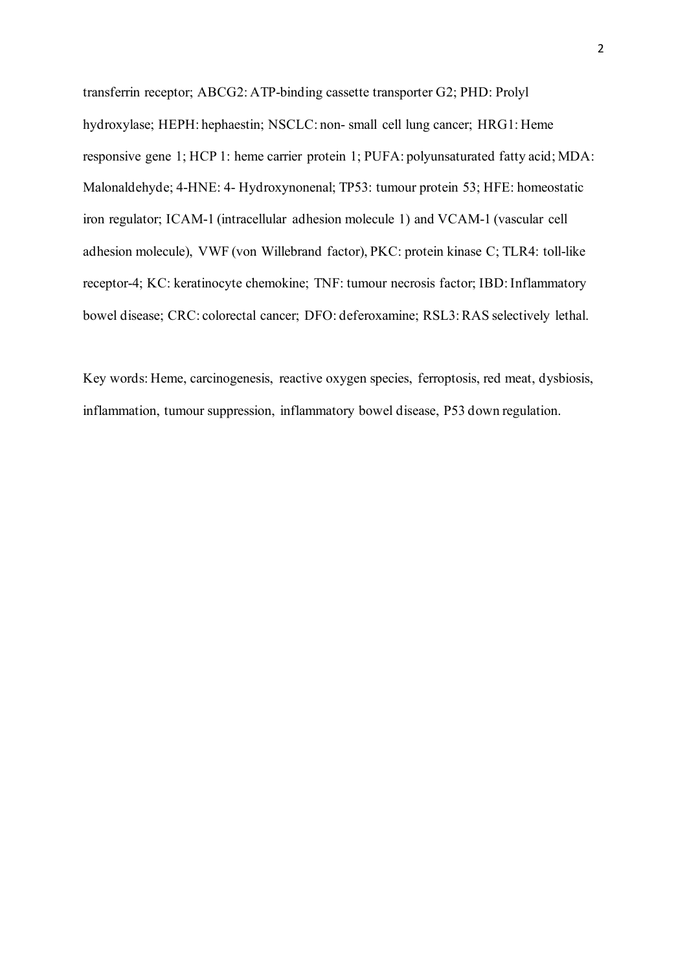transferrin receptor; ABCG2: ATP-binding cassette transporter G2; PHD: Prolyl hydroxylase; HEPH: hephaestin; NSCLC: non- small cell lung cancer; HRG1: Heme responsive gene 1; HCP 1: heme carrier protein 1; PUFA: polyunsaturated fatty acid; MDA: Malonaldehyde; 4-HNE: 4- Hydroxynonenal; TP53: tumour protein 53; HFE: homeostatic iron regulator; ICAM-1 (intracellular adhesion molecule 1) and VCAM-1 (vascular cell adhesion molecule), VWF (von Willebrand factor), PKC: protein kinase C; TLR4: toll-like receptor-4; KC: keratinocyte chemokine; TNF: tumour necrosis factor; IBD: Inflammatory bowel disease; CRC: colorectal cancer; DFO: deferoxamine; RSL3: RAS selectively lethal.

Key words: Heme, carcinogenesis, reactive oxygen species, ferroptosis, red meat, dysbiosis, inflammation, tumour suppression, inflammatory bowel disease, P53 down regulation.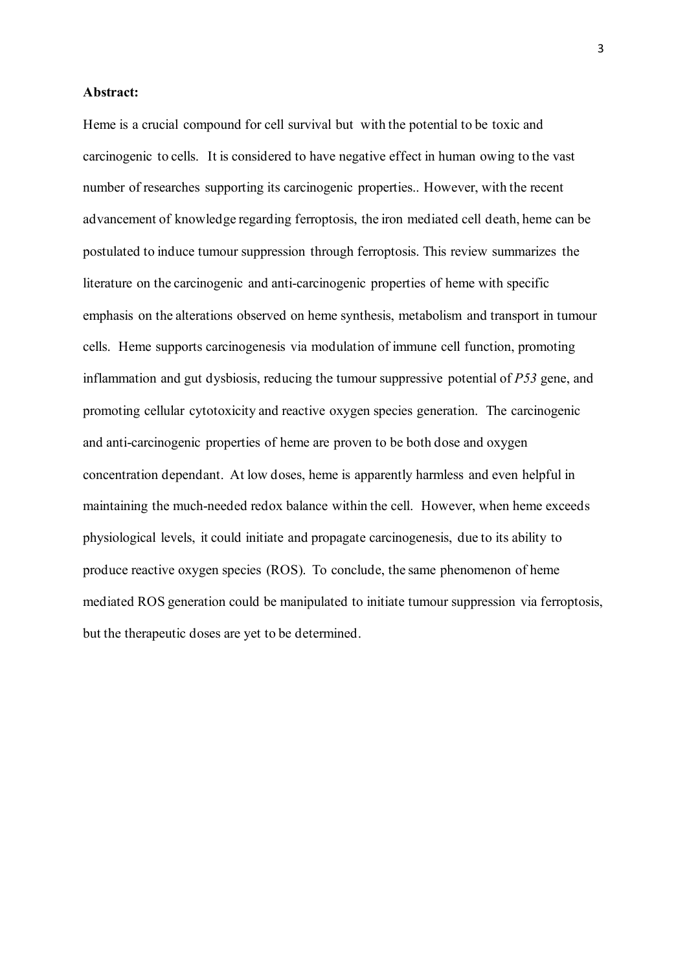### **Abstract:**

Heme is a crucial compound for cell survival but with the potential to be toxic and carcinogenic to cells. It is considered to have negative effect in human owing to the vast number of researches supporting its carcinogenic properties.. However, with the recent advancement of knowledge regarding ferroptosis, the iron mediated cell death, heme can be postulated to induce tumour suppression through ferroptosis. This review summarizes the literature on the carcinogenic and anti-carcinogenic properties of heme with specific emphasis on the alterations observed on heme synthesis, metabolism and transport in tumour cells. Heme supports carcinogenesis via modulation of immune cell function, promoting inflammation and gut dysbiosis, reducing the tumour suppressive potential of *P53* gene, and promoting cellular cytotoxicity and reactive oxygen species generation. The carcinogenic and anti-carcinogenic properties of heme are proven to be both dose and oxygen concentration dependant. At low doses, heme is apparently harmless and even helpful in maintaining the much-needed redox balance within the cell. However, when heme exceeds physiological levels, it could initiate and propagate carcinogenesis, due to its ability to produce reactive oxygen species (ROS). To conclude, the same phenomenon of heme mediated ROS generation could be manipulated to initiate tumour suppression via ferroptosis, but the therapeutic doses are yet to be determined.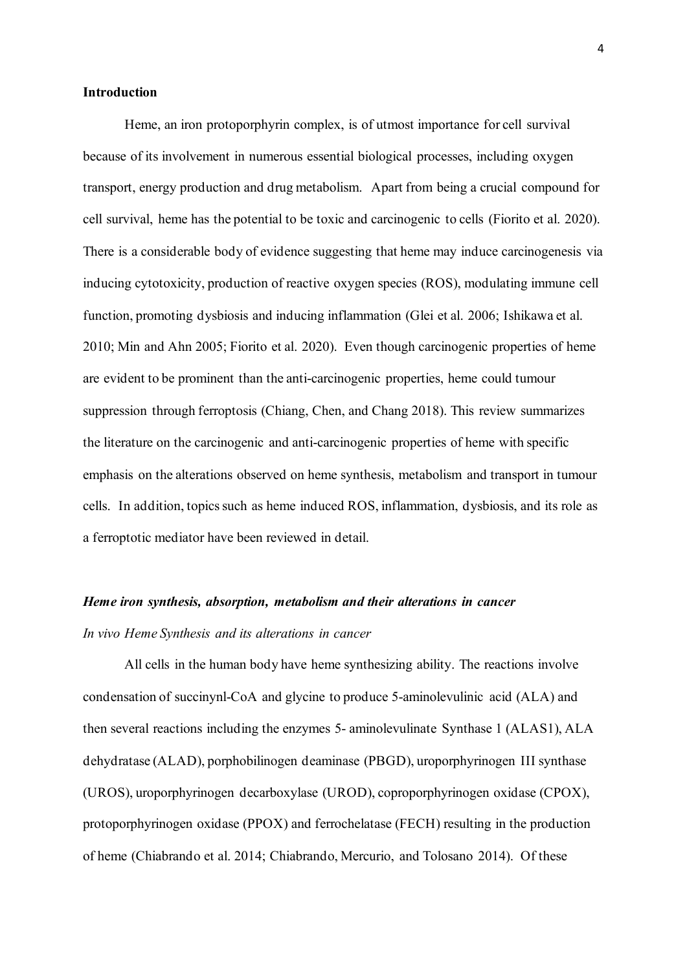#### **Introduction**

Heme, an iron protoporphyrin complex, is of utmost importance for cell survival because of its involvement in numerous essential biological processes, including oxygen transport, energy production and drug metabolism. Apart from being a crucial compound for cell survival, heme has the potential to be toxic and carcinogenic to cells (Fiorito et al. 2020). There is a considerable body of evidence suggesting that heme may induce carcinogenesis via inducing cytotoxicity, production of reactive oxygen species (ROS), modulating immune cell function, promoting dysbiosis and inducing inflammation (Glei et al. 2006; Ishikawa et al. 2010; Min and Ahn 2005; Fiorito et al. 2020). Even though carcinogenic properties of heme are evident to be prominent than the anti-carcinogenic properties, heme could tumour suppression through ferroptosis (Chiang, Chen, and Chang 2018). This review summarizes the literature on the carcinogenic and anti-carcinogenic properties of heme with specific emphasis on the alterations observed on heme synthesis, metabolism and transport in tumour cells. In addition, topics such as heme induced ROS, inflammation, dysbiosis, and its role as a ferroptotic mediator have been reviewed in detail.

#### *Heme iron synthesis, absorption, metabolism and their alterations in cancer*

#### *In vivo Heme Synthesis and its alterations in cancer*

All cells in the human body have heme synthesizing ability. The reactions involve condensation of succinynl-CoA and glycine to produce 5-aminolevulinic acid (ALA) and then several reactions including the enzymes 5- aminolevulinate Synthase 1 (ALAS1), ALA dehydratase (ALAD), porphobilinogen deaminase (PBGD), uroporphyrinogen III synthase (UROS), uroporphyrinogen decarboxylase (UROD), coproporphyrinogen oxidase (CPOX), protoporphyrinogen oxidase (PPOX) and ferrochelatase (FECH) resulting in the production of heme (Chiabrando et al. 2014; Chiabrando, Mercurio, and Tolosano 2014). Of these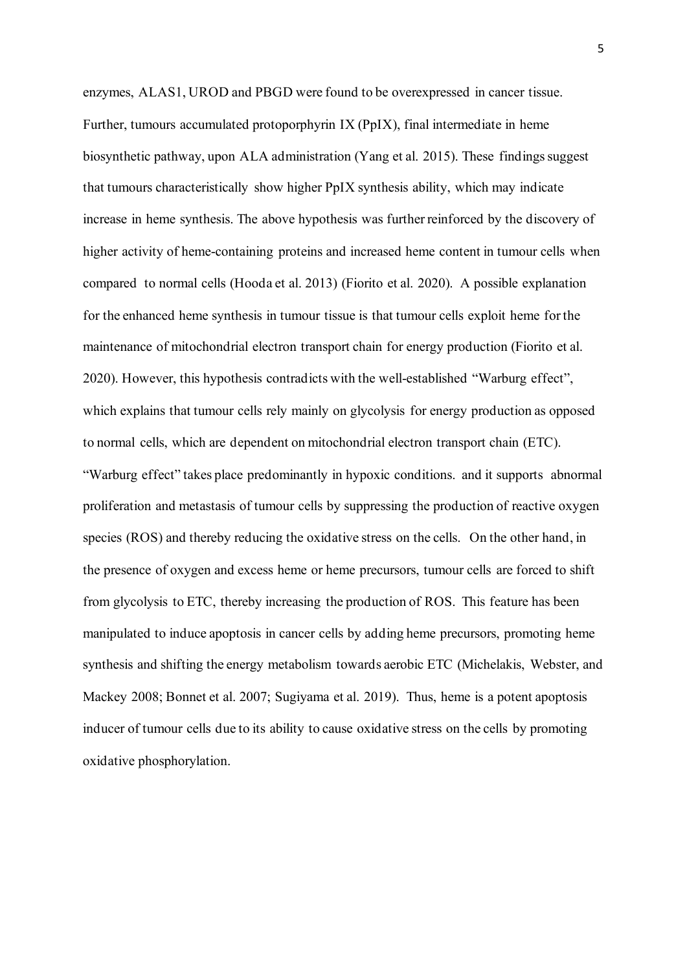enzymes, ALAS1, UROD and PBGD were found to be overexpressed in cancer tissue. Further, tumours accumulated protoporphyrin IX (PpIX), final intermediate in heme biosynthetic pathway, upon ALA administration (Yang et al. 2015). These findings suggest that tumours characteristically show higher PpIX synthesis ability, which may indicate increase in heme synthesis. The above hypothesis was further reinforced by the discovery of higher activity of heme-containing proteins and increased heme content in tumour cells when compared to normal cells (Hooda et al. 2013) (Fiorito et al. 2020). A possible explanation for the enhanced heme synthesis in tumour tissue is that tumour cells exploit heme for the maintenance of mitochondrial electron transport chain for energy production (Fiorito et al. 2020). However, this hypothesis contradicts with the well-established "Warburg effect", which explains that tumour cells rely mainly on glycolysis for energy production as opposed to normal cells, which are dependent on mitochondrial electron transport chain (ETC). "Warburg effect" takes place predominantly in hypoxic conditions. and it supports abnormal proliferation and metastasis of tumour cells by suppressing the production of reactive oxygen species (ROS) and thereby reducing the oxidative stress on the cells. On the other hand, in the presence of oxygen and excess heme or heme precursors, tumour cells are forced to shift from glycolysis to ETC, thereby increasing the production of ROS. This feature has been manipulated to induce apoptosis in cancer cells by adding heme precursors, promoting heme synthesis and shifting the energy metabolism towards aerobic ETC (Michelakis, Webster, and Mackey 2008; Bonnet et al. 2007; Sugiyama et al. 2019). Thus, heme is a potent apoptosis inducer of tumour cells due to its ability to cause oxidative stress on the cells by promoting oxidative phosphorylation.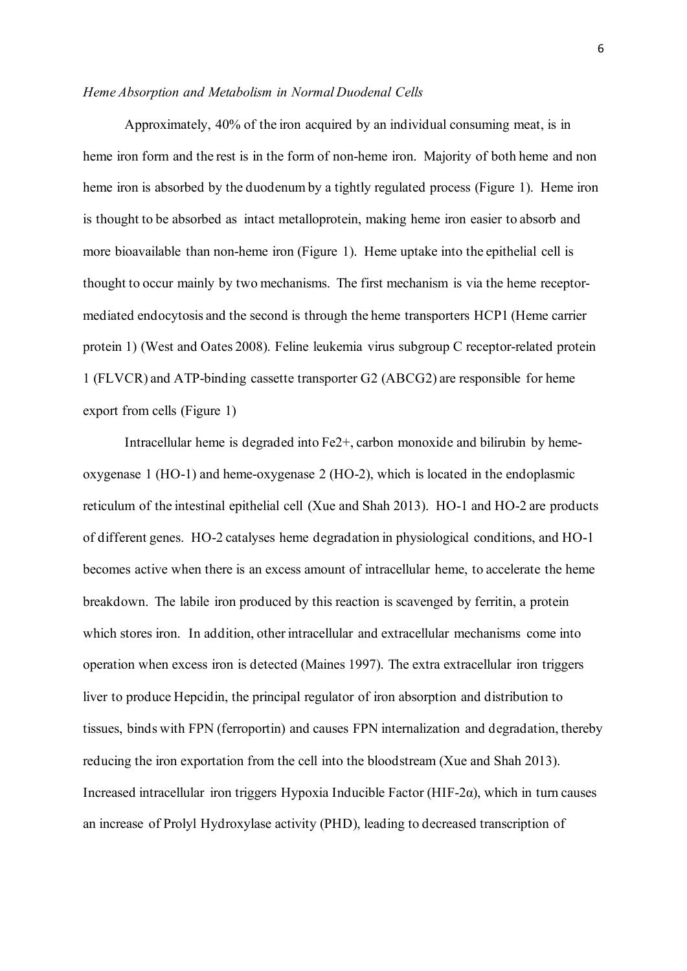#### *Heme Absorption and Metabolism in Normal Duodenal Cells*

Approximately, 40% of the iron acquired by an individual consuming meat, is in heme iron form and the rest is in the form of non-heme iron. Majority of both heme and non heme iron is absorbed by the duodenum by a tightly regulated process (Figure 1). Heme iron is thought to be absorbed as intact metalloprotein, making heme iron easier to absorb and more bioavailable than non-heme iron (Figure 1). Heme uptake into the epithelial cell is thought to occur mainly by two mechanisms. The first mechanism is via the heme receptormediated endocytosis and the second is through the heme transporters HCP1 (Heme carrier protein 1) (West and Oates 2008). Feline leukemia virus subgroup C receptor-related protein 1 (FLVCR) and ATP-binding cassette transporter G2 (ABCG2) are responsible for heme export from cells (Figure 1)

Intracellular heme is degraded into Fe2+, carbon monoxide and bilirubin by hemeoxygenase 1 (HO-1) and heme-oxygenase 2 (HO-2), which is located in the endoplasmic reticulum of the intestinal epithelial cell (Xue and Shah 2013). HO-1 and HO-2 are products of different genes. HO-2 catalyses heme degradation in physiological conditions, and HO-1 becomes active when there is an excess amount of intracellular heme, to accelerate the heme breakdown. The labile iron produced by this reaction is scavenged by ferritin, a protein which stores iron. In addition, other intracellular and extracellular mechanisms come into operation when excess iron is detected (Maines 1997). The extra extracellular iron triggers liver to produce Hepcidin, the principal regulator of iron absorption and distribution to tissues, binds with FPN (ferroportin) and causes FPN internalization and degradation, thereby reducing the iron exportation from the cell into the bloodstream (Xue and Shah 2013). Increased intracellular iron triggers Hypoxia Inducible Factor (HIF-2 $\alpha$ ), which in turn causes an increase of Prolyl Hydroxylase activity (PHD), leading to decreased transcription of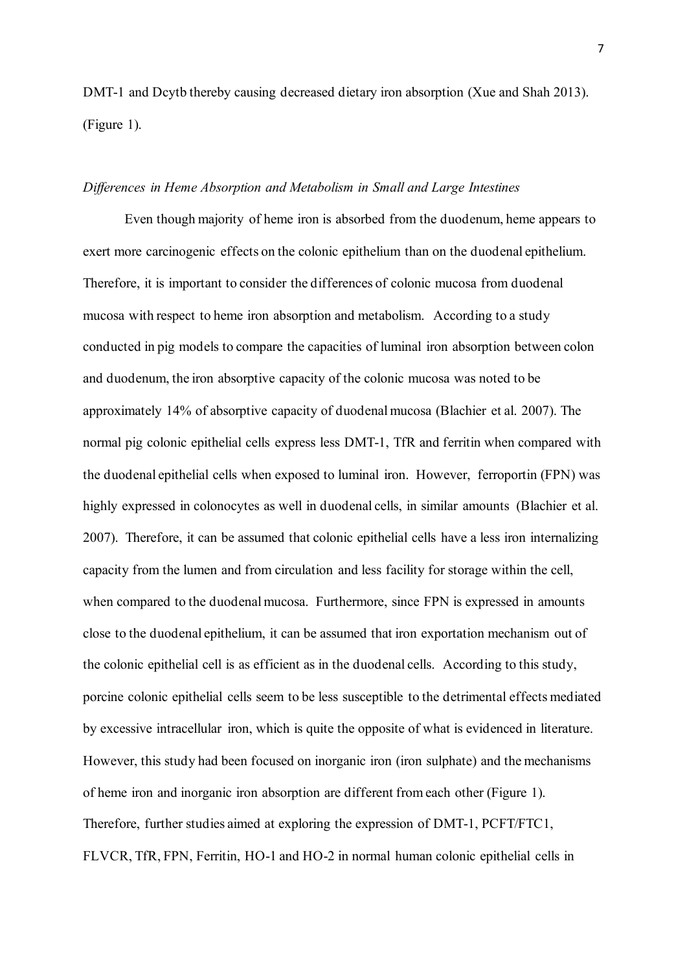DMT-1 and Dcytb thereby causing decreased dietary iron absorption (Xue and Shah 2013). (Figure 1).

#### *Differences in Heme Absorption and Metabolism in Small and Large Intestines*

Even though majority of heme iron is absorbed from the duodenum, heme appears to exert more carcinogenic effects on the colonic epithelium than on the duodenal epithelium. Therefore, it is important to consider the differences of colonic mucosa from duodenal mucosa with respect to heme iron absorption and metabolism. According to a study conducted in pig models to compare the capacities of luminal iron absorption between colon and duodenum, the iron absorptive capacity of the colonic mucosa was noted to be approximately 14% of absorptive capacity of duodenal mucosa (Blachier et al. 2007). The normal pig colonic epithelial cells express less DMT-1, TfR and ferritin when compared with the duodenal epithelial cells when exposed to luminal iron. However, ferroportin (FPN) was highly expressed in colonocytes as well in duodenal cells, in similar amounts (Blachier et al. 2007). Therefore, it can be assumed that colonic epithelial cells have a less iron internalizing capacity from the lumen and from circulation and less facility for storage within the cell, when compared to the duodenal mucosa. Furthermore, since FPN is expressed in amounts close to the duodenal epithelium, it can be assumed that iron exportation mechanism out of the colonic epithelial cell is as efficient as in the duodenal cells. According to this study, porcine colonic epithelial cells seem to be less susceptible to the detrimental effects mediated by excessive intracellular iron, which is quite the opposite of what is evidenced in literature. However, this study had been focused on inorganic iron (iron sulphate) and the mechanisms of heme iron and inorganic iron absorption are different from each other (Figure 1). Therefore, further studies aimed at exploring the expression of DMT-1, PCFT/FTC1, FLVCR, TfR, FPN, Ferritin, HO-1 and HO-2 in normal human colonic epithelial cells in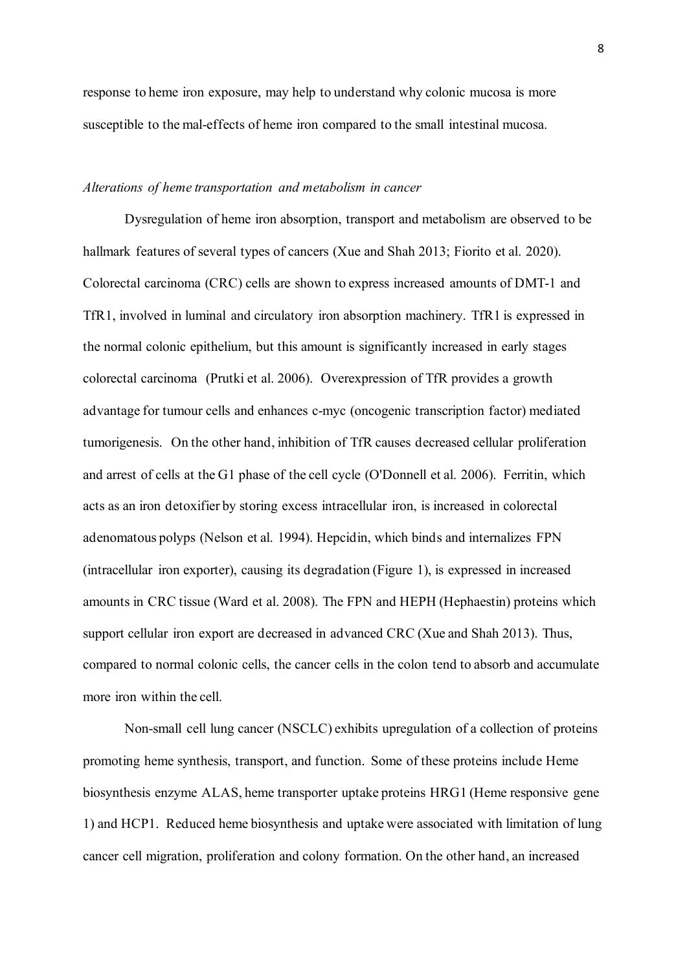response to heme iron exposure, may help to understand why colonic mucosa is more susceptible to the mal-effects of heme iron compared to the small intestinal mucosa.

#### *Alterations of heme transportation and metabolism in cancer*

Dysregulation of heme iron absorption, transport and metabolism are observed to be hallmark features of several types of cancers (Xue and Shah 2013; Fiorito et al. 2020). Colorectal carcinoma (CRC) cells are shown to express increased amounts of DMT-1 and TfR1, involved in luminal and circulatory iron absorption machinery. TfR1 is expressed in the normal colonic epithelium, but this amount is significantly increased in early stages colorectal carcinoma (Prutki et al. 2006). Overexpression of TfR provides a growth advantage for tumour cells and enhances c-myc (oncogenic transcription factor) mediated tumorigenesis. On the other hand, inhibition of TfR causes decreased cellular proliferation and arrest of cells at the G1 phase of the cell cycle (O'Donnell et al. 2006). Ferritin, which acts as an iron detoxifier by storing excess intracellular iron, is increased in colorectal adenomatous polyps (Nelson et al. 1994). Hepcidin, which binds and internalizes FPN (intracellular iron exporter), causing its degradation (Figure 1), is expressed in increased amounts in CRC tissue (Ward et al. 2008). The FPN and HEPH (Hephaestin) proteins which support cellular iron export are decreased in advanced CRC (Xue and Shah 2013). Thus, compared to normal colonic cells, the cancer cells in the colon tend to absorb and accumulate more iron within the cell.

Non-small cell lung cancer (NSCLC) exhibits upregulation of a collection of proteins promoting heme synthesis, transport, and function. Some of these proteins include Heme biosynthesis enzyme ALAS, heme transporter uptake proteins HRG1 (Heme responsive gene 1) and HCP1. Reduced heme biosynthesis and uptake were associated with limitation of lung cancer cell migration, proliferation and colony formation. On the other hand, an increased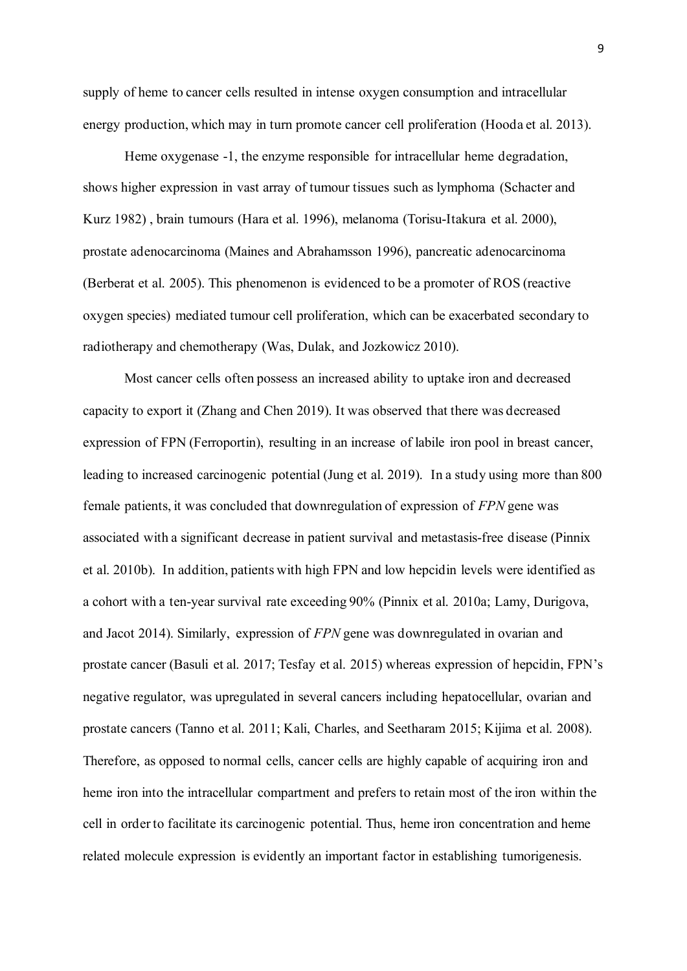supply of heme to cancer cells resulted in intense oxygen consumption and intracellular energy production, which may in turn promote cancer cell proliferation (Hooda et al. 2013).

Heme oxygenase -1, the enzyme responsible for intracellular heme degradation, shows higher expression in vast array of tumour tissues such as lymphoma (Schacter and Kurz 1982) , brain tumours (Hara et al. 1996), melanoma (Torisu-Itakura et al. 2000), prostate adenocarcinoma (Maines and Abrahamsson 1996), pancreatic adenocarcinoma (Berberat et al. 2005). This phenomenon is evidenced to be a promoter of ROS (reactive oxygen species) mediated tumour cell proliferation, which can be exacerbated secondary to radiotherapy and chemotherapy (Was, Dulak, and Jozkowicz 2010).

Most cancer cells often possess an increased ability to uptake iron and decreased capacity to export it (Zhang and Chen 2019). It was observed that there was decreased expression of FPN (Ferroportin), resulting in an increase of labile iron pool in breast cancer, leading to increased carcinogenic potential (Jung et al. 2019). In a study using more than 800 female patients, it was concluded that downregulation of expression of *FPN* gene was associated with a significant decrease in patient survival and metastasis-free disease (Pinnix et al. 2010b). In addition, patients with high FPN and low hepcidin levels were identified as a cohort with a ten-year survival rate exceeding 90% (Pinnix et al. 2010a; Lamy, Durigova, and Jacot 2014). Similarly, expression of *FPN* gene was downregulated in ovarian and prostate cancer (Basuli et al. 2017; Tesfay et al. 2015) whereas expression of hepcidin, FPN's negative regulator, was upregulated in several cancers including hepatocellular, ovarian and prostate cancers (Tanno et al. 2011; Kali, Charles, and Seetharam 2015; Kijima et al. 2008). Therefore, as opposed to normal cells, cancer cells are highly capable of acquiring iron and heme iron into the intracellular compartment and prefers to retain most of the iron within the cell in order to facilitate its carcinogenic potential. Thus, heme iron concentration and heme related molecule expression is evidently an important factor in establishing tumorigenesis.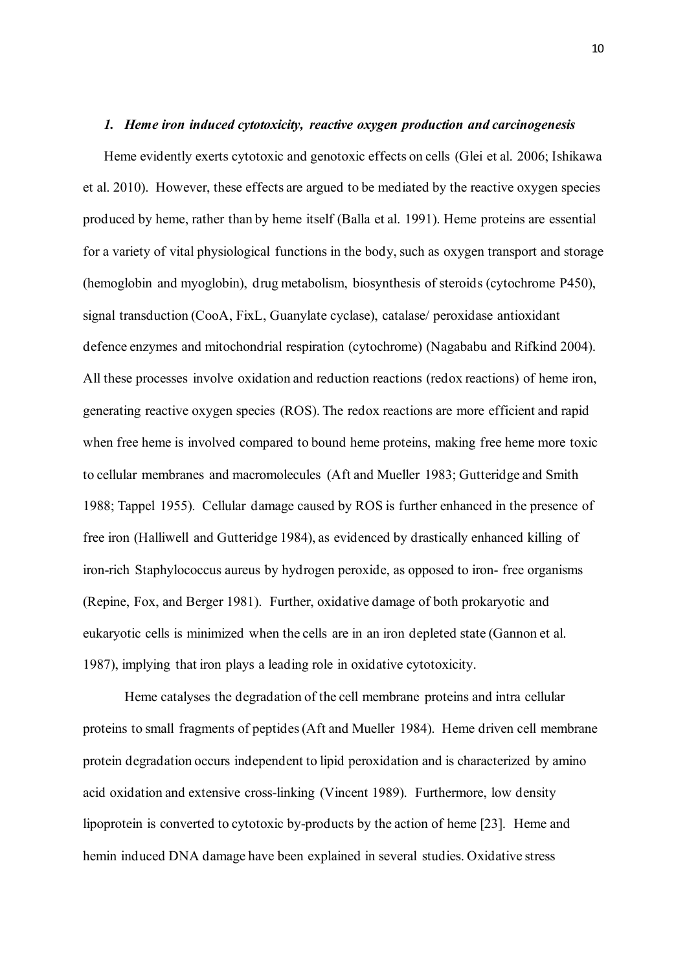### *1. Heme iron induced cytotoxicity, reactive oxygen production and carcinogenesis*

Heme evidently exerts cytotoxic and genotoxic effects on cells (Glei et al. 2006; Ishikawa et al. 2010). However, these effects are argued to be mediated by the reactive oxygen species produced by heme, rather than by heme itself (Balla et al. 1991). Heme proteins are essential for a variety of vital physiological functions in the body, such as oxygen transport and storage (hemoglobin and myoglobin), drug metabolism, biosynthesis of steroids (cytochrome P450), signal transduction (CooA, FixL, Guanylate cyclase), catalase/ peroxidase antioxidant defence enzymes and mitochondrial respiration (cytochrome) (Nagababu and Rifkind 2004). All these processes involve oxidation and reduction reactions (redox reactions) of heme iron, generating reactive oxygen species (ROS). The redox reactions are more efficient and rapid when free heme is involved compared to bound heme proteins, making free heme more toxic to cellular membranes and macromolecules (Aft and Mueller 1983; Gutteridge and Smith 1988; Tappel 1955). Cellular damage caused by ROS is further enhanced in the presence of free iron (Halliwell and Gutteridge 1984), as evidenced by drastically enhanced killing of iron-rich Staphylococcus aureus by hydrogen peroxide, as opposed to iron- free organisms (Repine, Fox, and Berger 1981). Further, oxidative damage of both prokaryotic and eukaryotic cells is minimized when the cells are in an iron depleted state (Gannon et al. 1987), implying that iron plays a leading role in oxidative cytotoxicity.

Heme catalyses the degradation of the cell membrane proteins and intra cellular proteins to small fragments of peptides (Aft and Mueller 1984). Heme driven cell membrane protein degradation occurs independent to lipid peroxidation and is characterized by amino acid oxidation and extensive cross-linking (Vincent 1989). Furthermore, low density lipoprotein is converted to cytotoxic by-products by the action of heme [23]. Heme and hemin induced DNA damage have been explained in several studies. Oxidative stress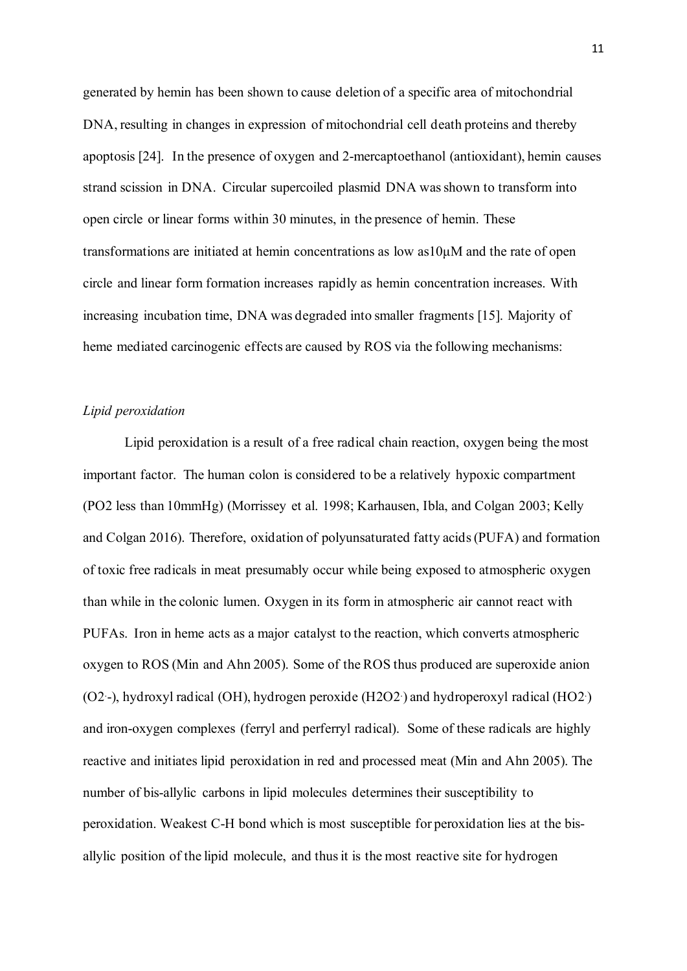generated by hemin has been shown to cause deletion of a specific area of mitochondrial DNA, resulting in changes in expression of mitochondrial cell death proteins and thereby apoptosis [24]. In the presence of oxygen and 2-mercaptoethanol (antioxidant), hemin causes strand scission in DNA. Circular supercoiled plasmid DNA was shown to transform into open circle or linear forms within 30 minutes, in the presence of hemin. These transformations are initiated at hemin concentrations as low as10μM and the rate of open circle and linear form formation increases rapidly as hemin concentration increases. With increasing incubation time, DNA was degraded into smaller fragments [15]. Majority of heme mediated carcinogenic effects are caused by ROS via the following mechanisms:

#### *Lipid peroxidation*

Lipid peroxidation is a result of a free radical chain reaction, oxygen being the most important factor. The human colon is considered to be a relatively hypoxic compartment (PO2 less than 10mmHg) (Morrissey et al. 1998; Karhausen, Ibla, and Colgan 2003; Kelly and Colgan 2016). Therefore, oxidation of polyunsaturated fatty acids (PUFA) and formation of toxic free radicals in meat presumably occur while being exposed to atmospheric oxygen than while in the colonic lumen. Oxygen in its form in atmospheric air cannot react with PUFAs. Iron in heme acts as a major catalyst to the reaction, which converts atmospheric oxygen to ROS (Min and Ahn 2005). Some of the ROS thus produced are superoxide anion (O2. -), hydroxyl radical (OH), hydrogen peroxide (H2O2. ) and hydroperoxyl radical (HO2. ) and iron-oxygen complexes (ferryl and perferryl radical). Some of these radicals are highly reactive and initiates lipid peroxidation in red and processed meat (Min and Ahn 2005). The number of bis-allylic carbons in lipid molecules determines their susceptibility to peroxidation. Weakest C-H bond which is most susceptible for peroxidation lies at the bisallylic position of the lipid molecule, and thus it is the most reactive site for hydrogen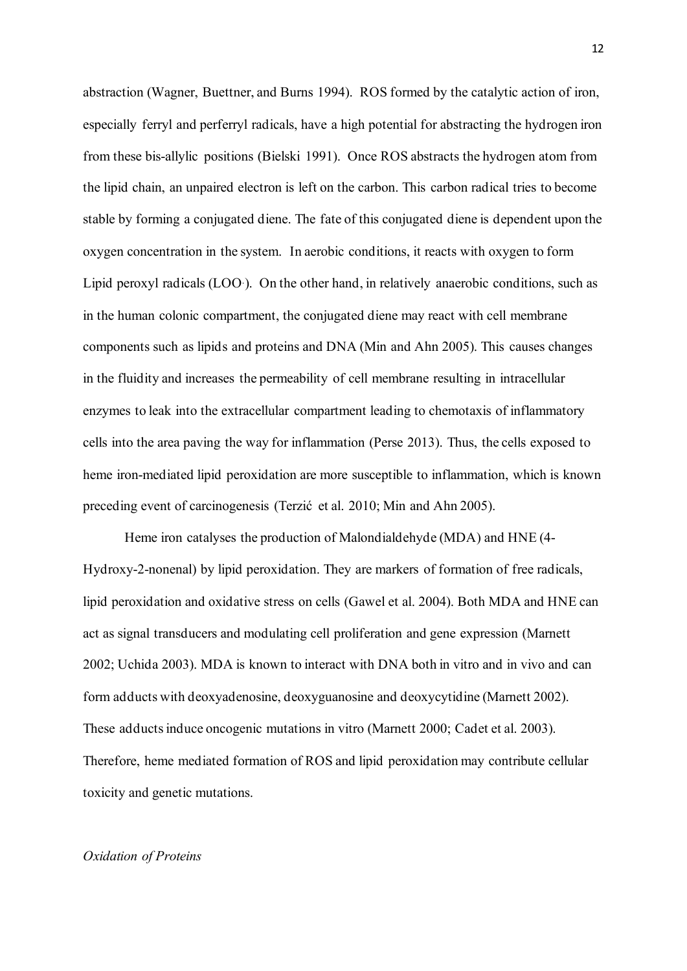abstraction (Wagner, Buettner, and Burns 1994). ROS formed by the catalytic action of iron, especially ferryl and perferryl radicals, have a high potential for abstracting the hydrogen iron from these bis-allylic positions (Bielski 1991). Once ROS abstracts the hydrogen atom from the lipid chain, an unpaired electron is left on the carbon. This carbon radical tries to become stable by forming a conjugated diene. The fate of this conjugated diene is dependent upon the oxygen concentration in the system. In aerobic conditions, it reacts with oxygen to form Lipid peroxyl radicals (LOO. ). On the other hand, in relatively anaerobic conditions, such as in the human colonic compartment, the conjugated diene may react with cell membrane components such as lipids and proteins and DNA (Min and Ahn 2005). This causes changes in the fluidity and increases the permeability of cell membrane resulting in intracellular enzymes to leak into the extracellular compartment leading to chemotaxis of inflammatory cells into the area paving the way for inflammation (Perse 2013). Thus, the cells exposed to heme iron-mediated lipid peroxidation are more susceptible to inflammation, which is known preceding event of carcinogenesis (Terzić et al. 2010; Min and Ahn 2005).

Heme iron catalyses the production of Malondialdehyde (MDA) and HNE (4- Hydroxy-2-nonenal) by lipid peroxidation. They are markers of formation of free radicals, lipid peroxidation and oxidative stress on cells (Gawel et al. 2004). Both MDA and HNE can act as signal transducers and modulating cell proliferation and gene expression (Marnett 2002; Uchida 2003). MDA is known to interact with DNA both in vitro and in vivo and can form adducts with deoxyadenosine, deoxyguanosine and deoxycytidine (Marnett 2002). These adducts induce oncogenic mutations in vitro (Marnett 2000; Cadet et al. 2003). Therefore, heme mediated formation of ROS and lipid peroxidation may contribute cellular toxicity and genetic mutations.

#### *Oxidation of Proteins*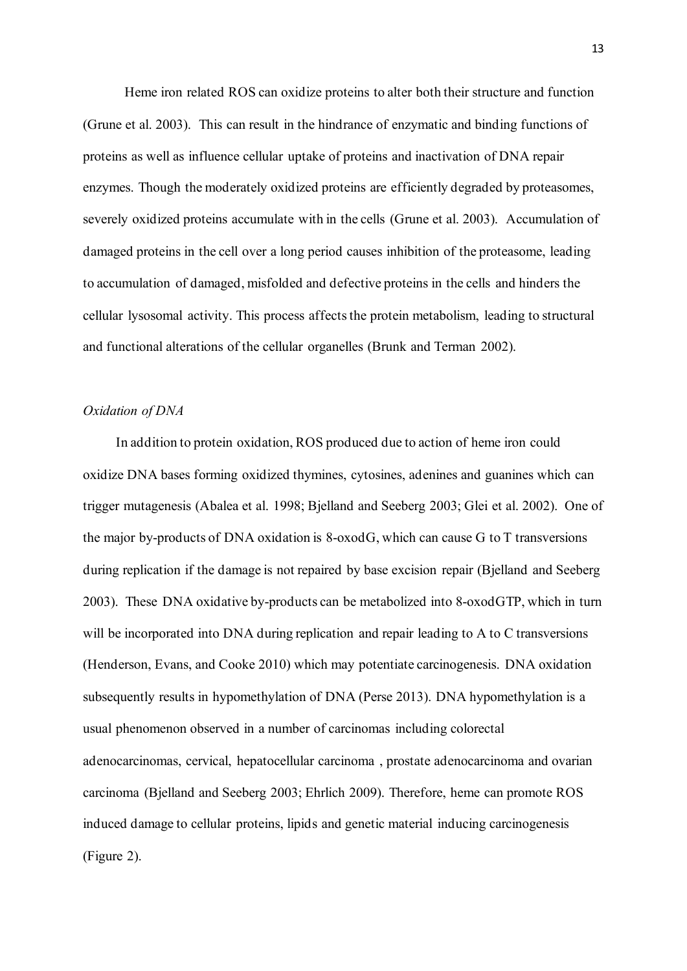Heme iron related ROS can oxidize proteins to alter both their structure and function (Grune et al. 2003). This can result in the hindrance of enzymatic and binding functions of proteins as well as influence cellular uptake of proteins and inactivation of DNA repair enzymes. Though the moderately oxidized proteins are efficiently degraded by proteasomes, severely oxidized proteins accumulate with in the cells (Grune et al. 2003). Accumulation of damaged proteins in the cell over a long period causes inhibition of the proteasome, leading to accumulation of damaged, misfolded and defective proteins in the cells and hinders the cellular lysosomal activity. This process affects the protein metabolism, leading to structural and functional alterations of the cellular organelles (Brunk and Terman 2002).

#### *Oxidation of DNA*

In addition to protein oxidation, ROS produced due to action of heme iron could oxidize DNA bases forming oxidized thymines, cytosines, adenines and guanines which can trigger mutagenesis (Abalea et al. 1998; Bjelland and Seeberg 2003; Glei et al. 2002). One of the major by-products of DNA oxidation is 8-oxodG, which can cause G to T transversions during replication if the damage is not repaired by base excision repair (Bjelland and Seeberg 2003). These DNA oxidative by-products can be metabolized into 8-oxodGTP, which in turn will be incorporated into DNA during replication and repair leading to A to C transversions (Henderson, Evans, and Cooke 2010) which may potentiate carcinogenesis. DNA oxidation subsequently results in hypomethylation of DNA (Perse 2013). DNA hypomethylation is a usual phenomenon observed in a number of carcinomas including colorectal adenocarcinomas, cervical, hepatocellular carcinoma , prostate adenocarcinoma and ovarian carcinoma (Bjelland and Seeberg 2003; Ehrlich 2009). Therefore, heme can promote ROS induced damage to cellular proteins, lipids and genetic material inducing carcinogenesis (Figure 2).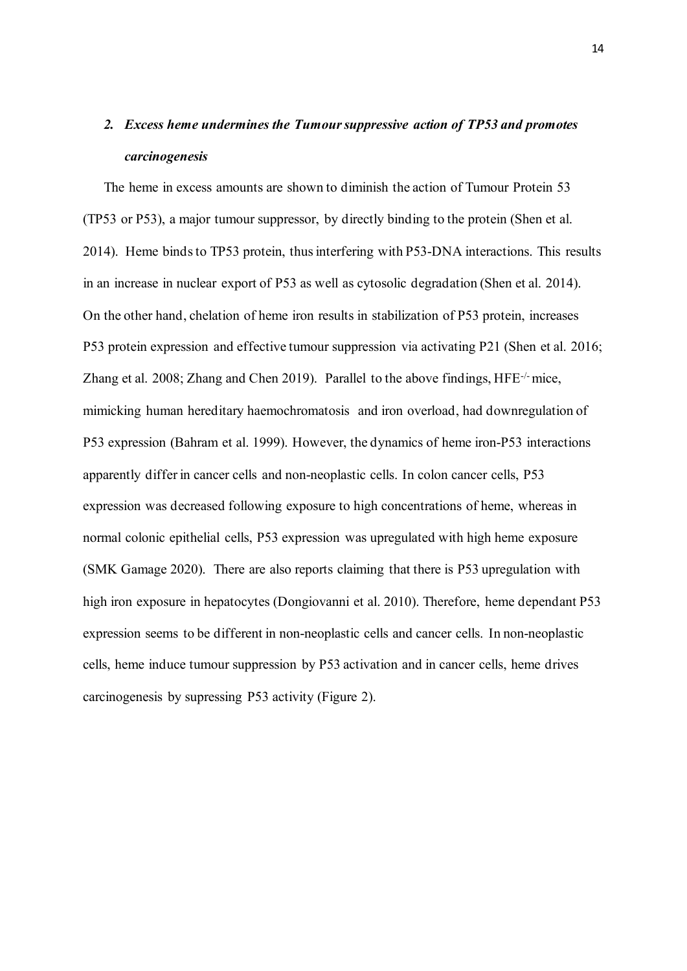# *2. Excess heme undermines the Tumour suppressive action of TP53 and promotes carcinogenesis*

The heme in excess amounts are shown to diminish the action of Tumour Protein 53 (TP53 or P53), a major tumour suppressor, by directly binding to the protein (Shen et al. 2014). Heme binds to TP53 protein, thus interfering with P53-DNA interactions. This results in an increase in nuclear export of P53 as well as cytosolic degradation (Shen et al. 2014). On the other hand, chelation of heme iron results in stabilization of P53 protein, increases P53 protein expression and effective tumour suppression via activating P21 (Shen et al. 2016; Zhang et al. 2008; Zhang and Chen 2019). Parallel to the above findings, HFE-/-mice, mimicking human hereditary haemochromatosis and iron overload, had downregulation of P53 expression (Bahram et al. 1999). However, the dynamics of heme iron-P53 interactions apparently differ in cancer cells and non-neoplastic cells. In colon cancer cells, P53 expression was decreased following exposure to high concentrations of heme, whereas in normal colonic epithelial cells, P53 expression was upregulated with high heme exposure (SMK Gamage 2020). There are also reports claiming that there is P53 upregulation with high iron exposure in hepatocytes (Dongiovanni et al. 2010). Therefore, heme dependant P53 expression seems to be different in non-neoplastic cells and cancer cells. In non-neoplastic cells, heme induce tumour suppression by P53 activation and in cancer cells, heme drives carcinogenesis by supressing P53 activity (Figure 2).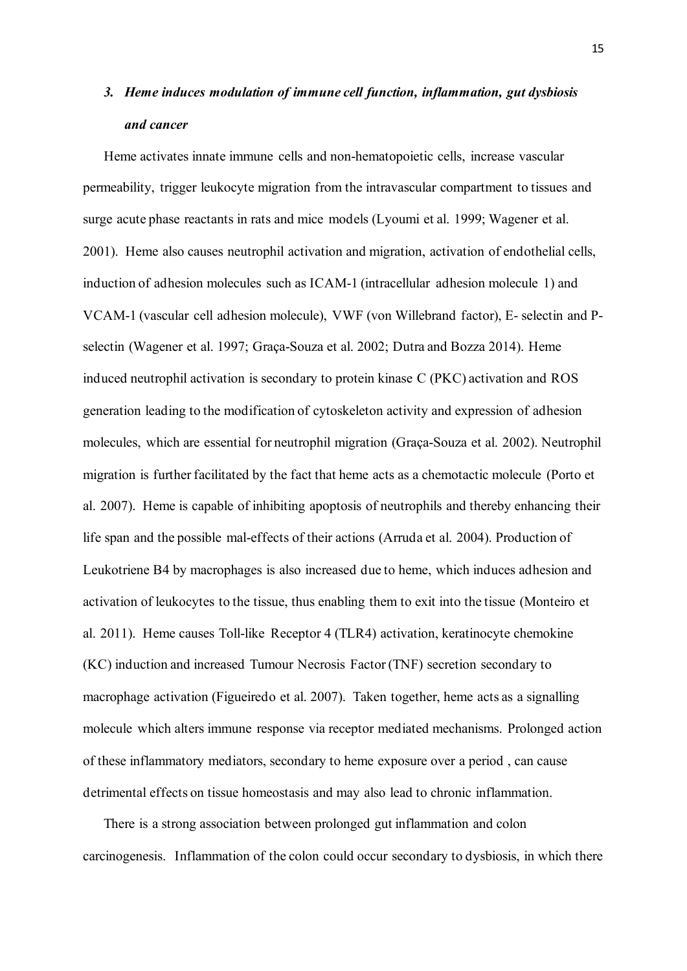## *3. Heme induces modulation of immune cell function, inflammation, gut dysbiosis and cancer*

Heme activates innate immune cells and non-hematopoietic cells, increase vascular permeability, trigger leukocyte migration from the intravascular compartment to tissues and surge acute phase reactants in rats and mice models (Lyoumi et al. 1999; Wagener et al. 2001). Heme also causes neutrophil activation and migration, activation of endothelial cells, induction of adhesion molecules such as ICAM-1 (intracellular adhesion molecule 1) and VCAM-1 (vascular cell adhesion molecule), VWF (von Willebrand factor), E- selectin and Pselectin (Wagener et al. 1997; Graça-Souza et al. 2002; Dutra and Bozza 2014). Heme induced neutrophil activation is secondary to protein kinase C (PKC) activation and ROS generation leading to the modification of cytoskeleton activity and expression of adhesion molecules, which are essential for neutrophil migration (Graça-Souza et al. 2002). Neutrophil migration is further facilitated by the fact that heme acts as a chemotactic molecule (Porto et al. 2007). Heme is capable of inhibiting apoptosis of neutrophils and thereby enhancing their life span and the possible mal-effects of their actions (Arruda et al. 2004). Production of Leukotriene B4 by macrophages is also increased due to heme, which induces adhesion and activation of leukocytes to the tissue, thus enabling them to exit into the tissue (Monteiro et al. 2011). Heme causes Toll-like Receptor 4 (TLR4) activation, keratinocyte chemokine (KC) induction and increased Tumour Necrosis Factor (TNF) secretion secondary to macrophage activation (Figueiredo et al. 2007). Taken together, heme acts as a signalling molecule which alters immune response via receptor mediated mechanisms. Prolonged action of these inflammatory mediators, secondary to heme exposure over a period , can cause detrimental effects on tissue homeostasis and may also lead to chronic inflammation.

There is a strong association between prolonged gut inflammation and colon carcinogenesis. Inflammation of the colon could occur secondary to dysbiosis, in which there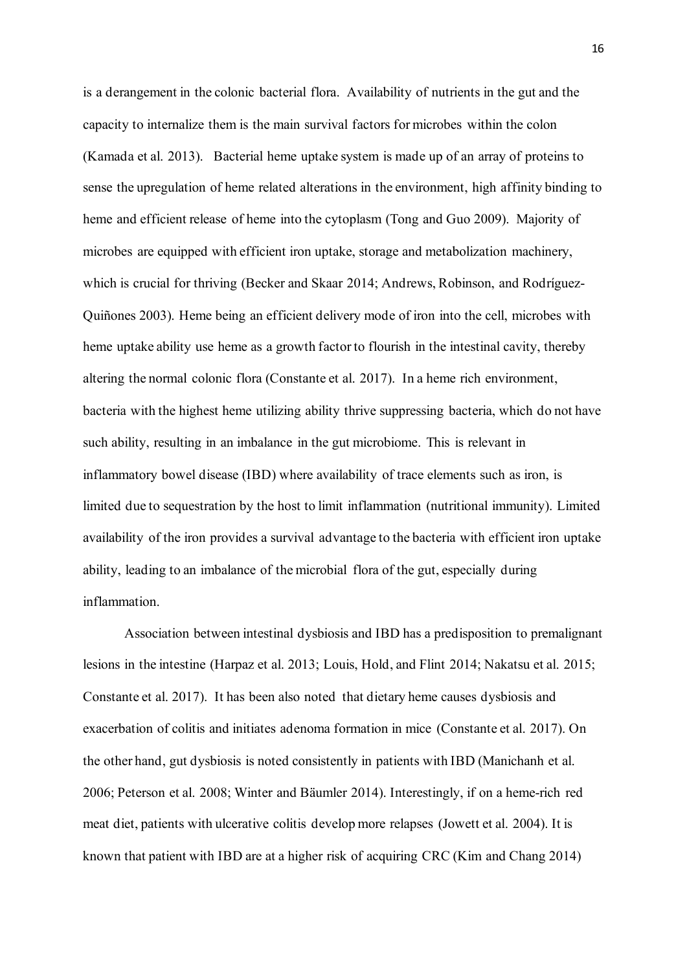is a derangement in the colonic bacterial flora. Availability of nutrients in the gut and the capacity to internalize them is the main survival factors for microbes within the colon (Kamada et al. 2013). Bacterial heme uptake system is made up of an array of proteins to sense the upregulation of heme related alterations in the environment, high affinity binding to heme and efficient release of heme into the cytoplasm (Tong and Guo 2009). Majority of microbes are equipped with efficient iron uptake, storage and metabolization machinery, which is crucial for thriving (Becker and Skaar 2014; Andrews, Robinson, and Rodríguez-Quiñones 2003). Heme being an efficient delivery mode of iron into the cell, microbes with heme uptake ability use heme as a growth factor to flourish in the intestinal cavity, thereby altering the normal colonic flora (Constante et al. 2017). In a heme rich environment, bacteria with the highest heme utilizing ability thrive suppressing bacteria, which do not have such ability, resulting in an imbalance in the gut microbiome. This is relevant in inflammatory bowel disease (IBD) where availability of trace elements such as iron, is limited due to sequestration by the host to limit inflammation (nutritional immunity). Limited availability of the iron provides a survival advantage to the bacteria with efficient iron uptake ability, leading to an imbalance of the microbial flora of the gut, especially during inflammation.

Association between intestinal dysbiosis and IBD has a predisposition to premalignant lesions in the intestine (Harpaz et al. 2013; Louis, Hold, and Flint 2014; Nakatsu et al. 2015; Constante et al. 2017). It has been also noted that dietary heme causes dysbiosis and exacerbation of colitis and initiates adenoma formation in mice (Constante et al. 2017). On the other hand, gut dysbiosis is noted consistently in patients with IBD (Manichanh et al. 2006; Peterson et al. 2008; Winter and Bäumler 2014). Interestingly, if on a heme-rich red meat diet, patients with ulcerative colitis develop more relapses (Jowett et al. 2004). It is known that patient with IBD are at a higher risk of acquiring CRC (Kim and Chang 2014)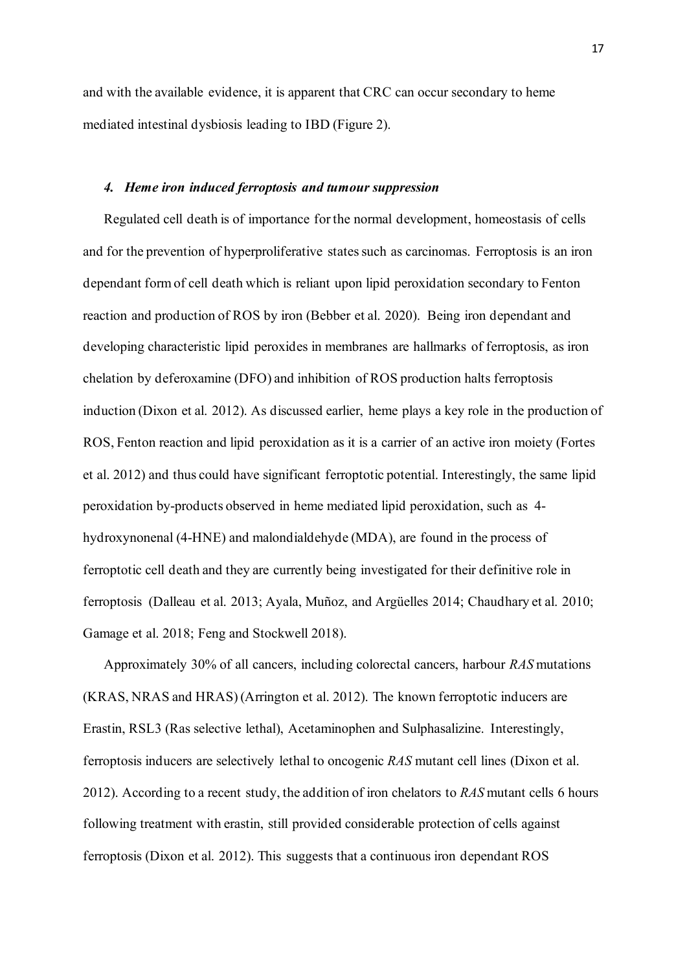and with the available evidence, it is apparent that CRC can occur secondary to heme mediated intestinal dysbiosis leading to IBD (Figure 2).

#### *4. Heme iron induced ferroptosis and tumour suppression*

Regulated cell death is of importance for the normal development, homeostasis of cells and for the prevention of hyperproliferative states such as carcinomas. Ferroptosis is an iron dependant form of cell death which is reliant upon lipid peroxidation secondary to Fenton reaction and production of ROS by iron (Bebber et al. 2020). Being iron dependant and developing characteristic lipid peroxides in membranes are hallmarks of ferroptosis, as iron chelation by deferoxamine (DFO) and inhibition of ROS production halts ferroptosis induction (Dixon et al. 2012). As discussed earlier, heme plays a key role in the production of ROS, Fenton reaction and lipid peroxidation as it is a carrier of an active iron moiety (Fortes et al. 2012) and thus could have significant ferroptotic potential. Interestingly, the same lipid peroxidation by-products observed in heme mediated lipid peroxidation, such as 4 hydroxynonenal (4-HNE) and malondialdehyde (MDA), are found in the process of ferroptotic cell death and they are currently being investigated for their definitive role in ferroptosis (Dalleau et al. 2013; Ayala, Muñoz, and Argüelles 2014; Chaudhary et al. 2010; Gamage et al. 2018; Feng and Stockwell 2018).

Approximately 30% of all cancers, including colorectal cancers, harbour *RAS* mutations (KRAS, NRAS and HRAS) (Arrington et al. 2012). The known ferroptotic inducers are Erastin, RSL3 (Ras selective lethal), Acetaminophen and Sulphasalizine. Interestingly, ferroptosis inducers are selectively lethal to oncogenic *RAS* mutant cell lines (Dixon et al. 2012). According to a recent study, the addition of iron chelators to *RAS* mutant cells 6 hours following treatment with erastin, still provided considerable protection of cells against ferroptosis (Dixon et al. 2012). This suggests that a continuous iron dependant ROS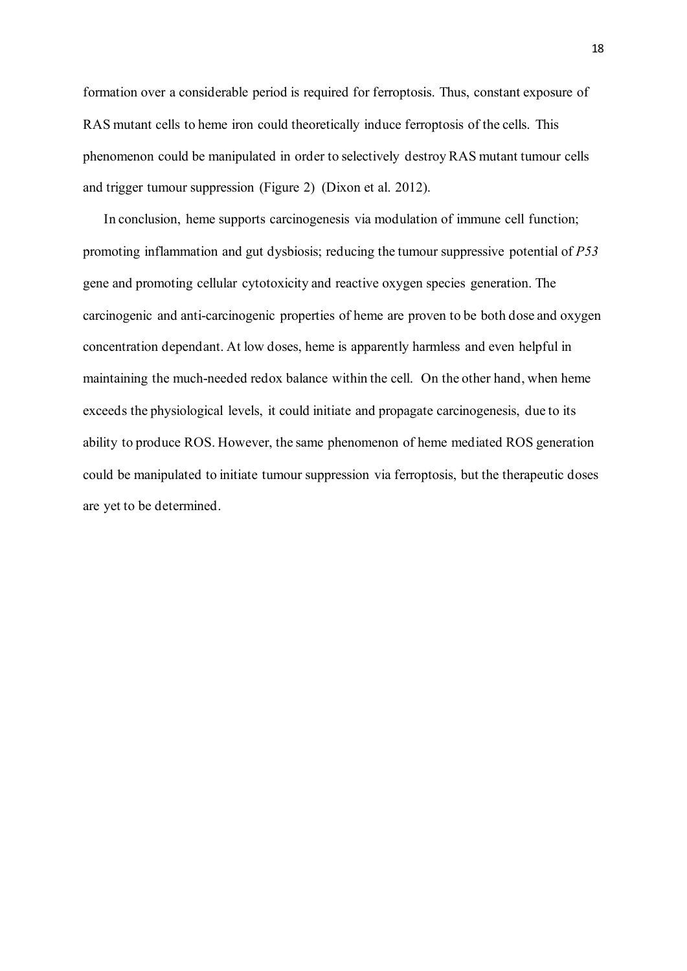formation over a considerable period is required for ferroptosis. Thus, constant exposure of RAS mutant cells to heme iron could theoretically induce ferroptosis of the cells. This phenomenon could be manipulated in order to selectively destroy RAS mutant tumour cells and trigger tumour suppression (Figure 2) (Dixon et al. 2012).

In conclusion, heme supports carcinogenesis via modulation of immune cell function; promoting inflammation and gut dysbiosis; reducing the tumour suppressive potential of *P53*  gene and promoting cellular cytotoxicity and reactive oxygen species generation. The carcinogenic and anti-carcinogenic properties of heme are proven to be both dose and oxygen concentration dependant. At low doses, heme is apparently harmless and even helpful in maintaining the much-needed redox balance within the cell. On the other hand, when heme exceeds the physiological levels, it could initiate and propagate carcinogenesis, due to its ability to produce ROS. However, the same phenomenon of heme mediated ROS generation could be manipulated to initiate tumour suppression via ferroptosis, but the therapeutic doses are yet to be determined.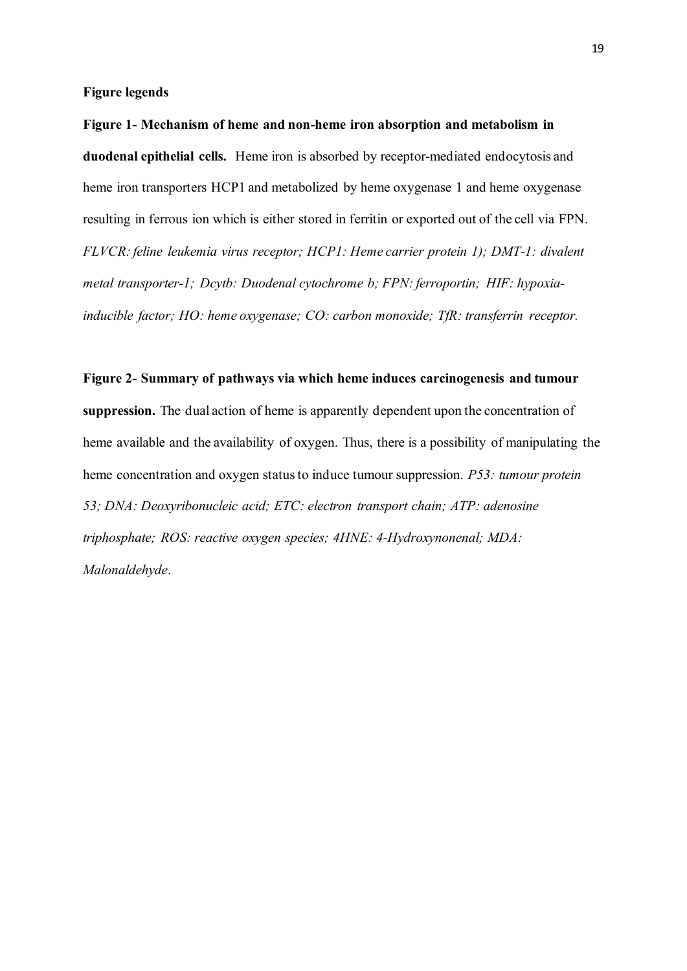**Figure legends**

**Figure 1- Mechanism of heme and non-heme iron absorption and metabolism in duodenal epithelial cells.** Heme iron is absorbed by receptor-mediated endocytosis and heme iron transporters HCP1 and metabolized by heme oxygenase 1 and heme oxygenase resulting in ferrous ion which is either stored in ferritin or exported out of the cell via FPN. *FLVCR: feline leukemia virus receptor; HCP1: Heme carrier protein 1); DMT-1: divalent metal transporter-1; Dcytb: Duodenal cytochrome b; FPN: ferroportin; HIF: hypoxiainducible factor; HO: heme oxygenase; CO: carbon monoxide; TfR: transferrin receptor.*

#### **Figure 2- Summary of pathways via which heme induces carcinogenesis and tumour**

**suppression.** The dual action of heme is apparently dependent upon the concentration of heme available and the availability of oxygen. Thus, there is a possibility of manipulating the heme concentration and oxygen status to induce tumour suppression. *P53: tumour protein 53; DNA: Deoxyribonucleic acid; ETC: electron transport chain; ATP: adenosine triphosphate; ROS: reactive oxygen species; 4HNE: 4-Hydroxynonenal; MDA: Malonaldehyde*.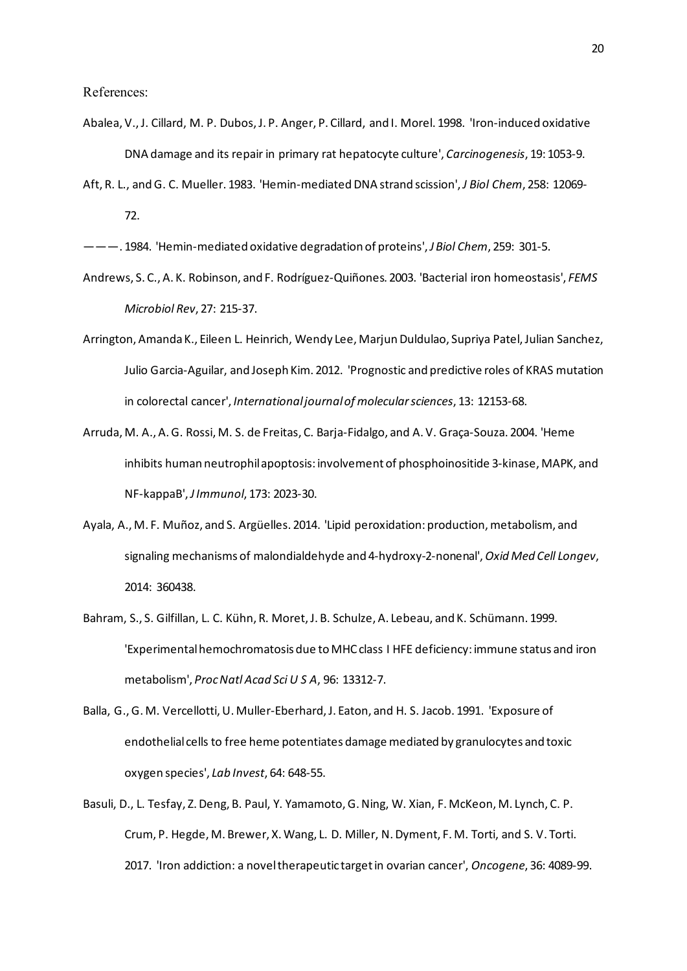- Abalea, V., J. Cillard, M. P. Dubos, J. P. Anger, P. Cillard, and I. Morel. 1998. 'Iron-induced oxidative DNA damage and its repair in primary rat hepatocyte culture', *Carcinogenesis*, 19: 1053-9.
- Aft, R. L., and G. C. Mueller. 1983. 'Hemin-mediated DNA strand scission', *J Biol Chem*, 258: 12069- 72.

———. 1984. 'Hemin-mediated oxidative degradation of proteins', *J Biol Chem*, 259: 301-5.

- Andrews, S. C., A. K. Robinson, and F. Rodríguez-Quiñones. 2003. 'Bacterial iron homeostasis', *FEMS Microbiol Rev*, 27: 215-37.
- Arrington, Amanda K., Eileen L. Heinrich, Wendy Lee, Marjun Duldulao, Supriya Patel, Julian Sanchez, Julio Garcia-Aguilar, and Joseph Kim. 2012. 'Prognostic and predictive roles of KRAS mutation in colorectal cancer', *International journal of molecular sciences*, 13: 12153-68.
- Arruda, M. A., A. G. Rossi, M. S. de Freitas, C. Barja-Fidalgo, and A. V. Graça-Souza. 2004. 'Heme inhibits human neutrophil apoptosis: involvement of phosphoinositide 3-kinase, MAPK, and NF-kappaB', *J Immunol*, 173: 2023-30.
- Ayala, A., M. F. Muñoz, and S. Argüelles. 2014. 'Lipid peroxidation: production, metabolism, and signaling mechanisms of malondialdehyde and 4-hydroxy-2-nonenal', *Oxid Med Cell Longev*, 2014: 360438.
- Bahram, S., S. Gilfillan, L. C. Kühn, R. Moret, J. B. Schulze, A. Lebeau, and K. Schümann. 1999. 'Experimental hemochromatosis due to MHC class I HFE deficiency: immune status and iron metabolism', *Proc Natl Acad Sci U S A*, 96: 13312-7.
- Balla, G., G. M. Vercellotti, U. Muller-Eberhard, J. Eaton, and H. S. Jacob. 1991. 'Exposure of endothelial cells to free heme potentiates damage mediated by granulocytes and toxic oxygen species', *Lab Invest*, 64: 648-55.
- Basuli, D., L. Tesfay, Z. Deng, B. Paul, Y. Yamamoto, G. Ning, W. Xian, F. McKeon, M. Lynch, C. P. Crum, P. Hegde, M. Brewer, X. Wang, L. D. Miller, N. Dyment, F. M. Torti, and S. V. Torti. 2017. 'Iron addiction: a novel therapeutic target in ovarian cancer', *Oncogene*, 36: 4089-99.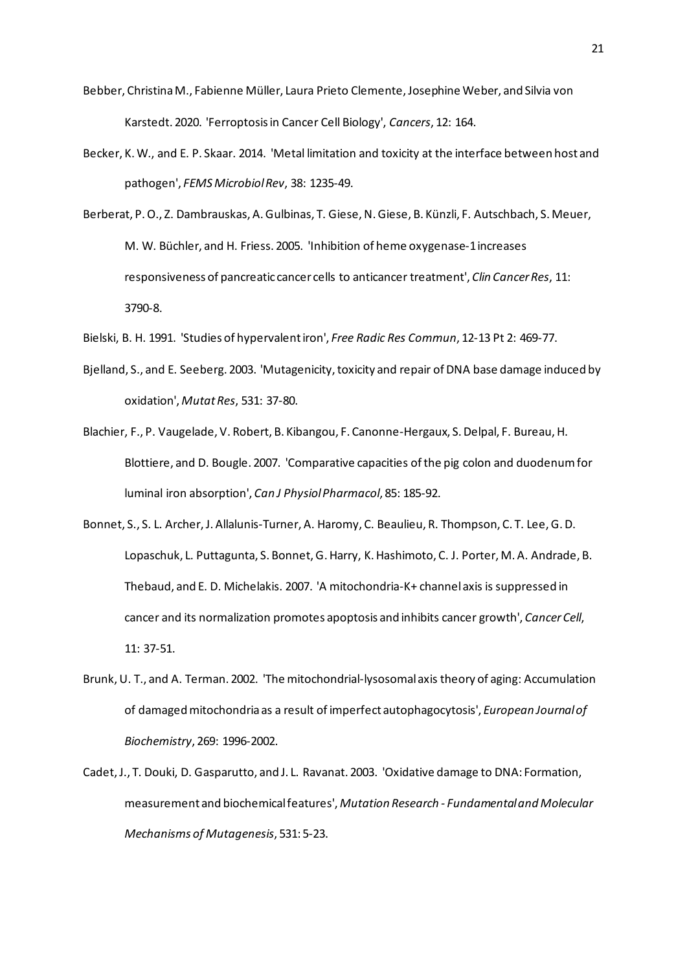- Bebber, Christina M., Fabienne Müller, Laura Prieto Clemente, Josephine Weber, and Silvia von Karstedt. 2020. 'Ferroptosis in Cancer Cell Biology', *Cancers*, 12: 164.
- Becker, K. W., and E. P. Skaar. 2014. 'Metal limitation and toxicity at the interface between host and pathogen', *FEMS Microbiol Rev*, 38: 1235-49.
- Berberat, P. O., Z. Dambrauskas, A. Gulbinas, T. Giese, N. Giese, B. Künzli, F. Autschbach, S. Meuer, M. W. Büchler, and H. Friess. 2005. 'Inhibition of heme oxygenase-1 increases responsiveness of pancreatic cancer cells to anticancer treatment', *Clin Cancer Res*, 11: 3790-8.
- Bielski, B. H. 1991. 'Studies of hypervalent iron', *Free Radic Res Commun*, 12-13 Pt 2: 469-77.
- Bjelland, S., and E. Seeberg. 2003. 'Mutagenicity, toxicity and repair of DNA base damage induced by oxidation', *Mutat Res*, 531: 37-80.
- Blachier, F., P. Vaugelade, V. Robert, B. Kibangou, F. Canonne-Hergaux, S. Delpal, F. Bureau, H. Blottiere, and D. Bougle. 2007. 'Comparative capacities of the pig colon and duodenum for luminal iron absorption', *Can J Physiol Pharmacol*, 85: 185-92.
- Bonnet, S., S. L. Archer, J. Allalunis-Turner, A. Haromy, C. Beaulieu, R. Thompson, C. T. Lee, G. D. Lopaschuk, L. Puttagunta, S. Bonnet, G. Harry, K. Hashimoto, C. J. Porter, M. A. Andrade, B. Thebaud, and E. D. Michelakis. 2007. 'A mitochondria-K+ channel axis is suppressed in cancer and its normalization promotes apoptosis and inhibits cancer growth', *Cancer Cell*, 11: 37-51.
- Brunk, U. T., and A. Terman. 2002. 'The mitochondrial-lysosomal axis theory of aging: Accumulation of damaged mitochondria as a result of imperfect autophagocytosis', *European Journal of Biochemistry*, 269: 1996-2002.
- Cadet, J., T. Douki, D. Gasparutto, and J. L. Ravanat. 2003. 'Oxidative damage to DNA: Formation, measurement and biochemical features', *Mutation Research - Fundamental and Molecular Mechanisms of Mutagenesis*, 531: 5-23.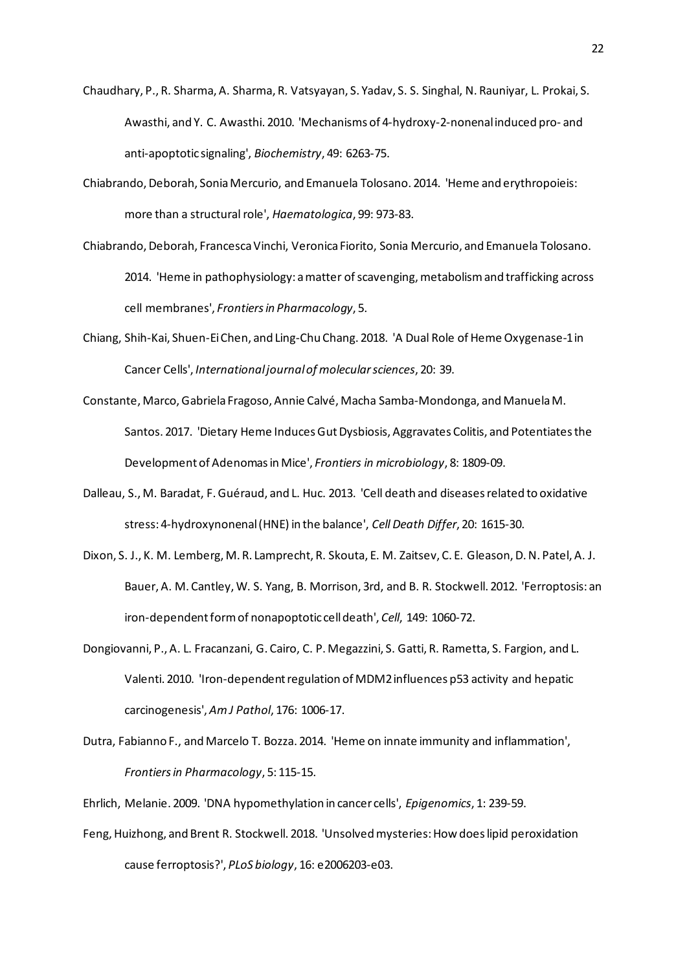- Chaudhary, P., R. Sharma, A. Sharma, R. Vatsyayan, S. Yadav, S. S. Singhal, N. Rauniyar, L. Prokai, S. Awasthi, and Y. C. Awasthi. 2010. 'Mechanisms of 4-hydroxy-2-nonenal induced pro- and anti-apoptotic signaling', *Biochemistry*, 49: 6263-75.
- Chiabrando, Deborah, Sonia Mercurio, and Emanuela Tolosano. 2014. 'Heme and erythropoieis: more than a structural role', *Haematologica*, 99: 973-83.
- Chiabrando, Deborah, Francesca Vinchi, Veronica Fiorito, Sonia Mercurio, and Emanuela Tolosano. 2014. 'Heme in pathophysiology: a matter of scavenging, metabolism and trafficking across cell membranes', *Frontiers in Pharmacology*, 5.
- Chiang, Shih-Kai, Shuen-Ei Chen, and Ling-Chu Chang. 2018. 'A Dual Role of Heme Oxygenase-1 in Cancer Cells', *International journal of molecular sciences*, 20: 39.
- Constante, Marco, Gabriela Fragoso, Annie Calvé, Macha Samba-Mondonga, and Manuela M. Santos. 2017. 'Dietary Heme Induces Gut Dysbiosis, Aggravates Colitis, and Potentiates the Development of Adenomas in Mice', *Frontiers in microbiology*, 8: 1809-09.
- Dalleau, S., M. Baradat, F. Guéraud, and L. Huc. 2013. 'Cell death and diseases related to oxidative stress: 4-hydroxynonenal (HNE) in the balance', *Cell Death Differ*, 20: 1615-30.
- Dixon, S. J., K. M. Lemberg, M. R. Lamprecht, R. Skouta, E. M. Zaitsev, C. E. Gleason, D. N. Patel, A. J. Bauer, A. M. Cantley, W. S. Yang, B. Morrison, 3rd, and B. R. Stockwell. 2012. 'Ferroptosis: an iron-dependent form of nonapoptotic cell death', *Cell*, 149: 1060-72.
- Dongiovanni, P., A. L. Fracanzani, G. Cairo, C. P. Megazzini, S. Gatti, R. Rametta, S. Fargion, and L. Valenti. 2010. 'Iron-dependent regulation of MDM2 influences p53 activity and hepatic carcinogenesis', *Am J Pathol*, 176: 1006-17.
- Dutra, Fabianno F., and Marcelo T. Bozza. 2014. 'Heme on innate immunity and inflammation', *Frontiers in Pharmacology*, 5: 115-15.
- Ehrlich, Melanie. 2009. 'DNA hypomethylation in cancer cells', *Epigenomics*, 1: 239-59.
- Feng, Huizhong, and Brent R. Stockwell. 2018. 'Unsolved mysteries: How does lipid peroxidation cause ferroptosis?', *PLoS biology*, 16: e2006203-e03.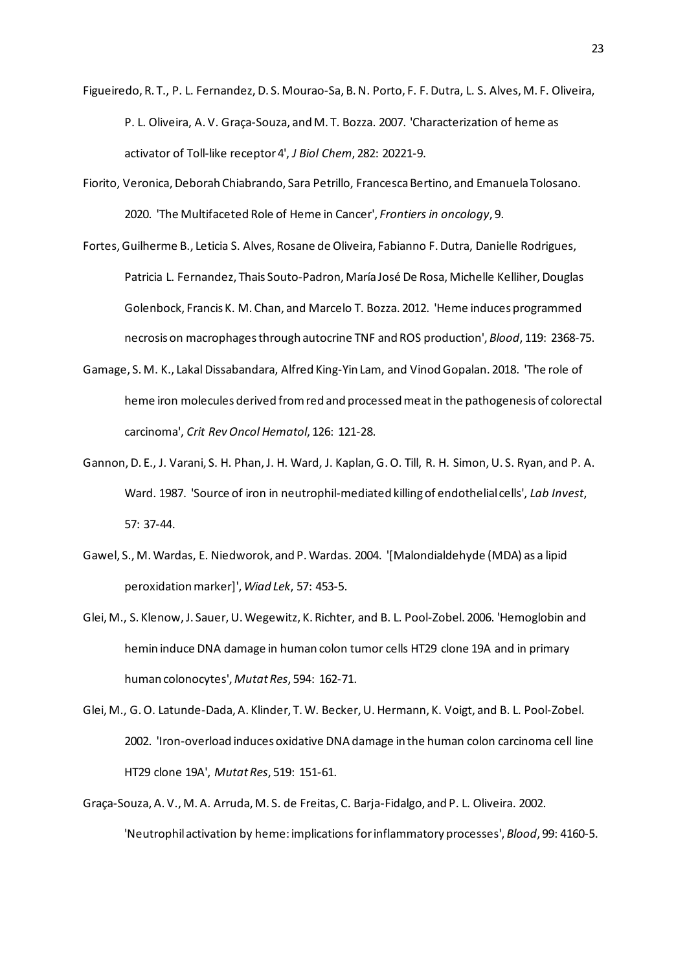- Figueiredo, R. T., P. L. Fernandez, D. S. Mourao-Sa, B. N. Porto, F. F. Dutra, L. S. Alves, M. F. Oliveira, P. L. Oliveira, A. V. Graça-Souza, and M. T. Bozza. 2007. 'Characterization of heme as activator of Toll-like receptor 4', *J Biol Chem*, 282: 20221-9.
- Fiorito, Veronica, Deborah Chiabrando, Sara Petrillo, Francesca Bertino, and Emanuela Tolosano. 2020. 'The Multifaceted Role of Heme in Cancer', *Frontiers in oncology*, 9.
- Fortes, Guilherme B., Leticia S. Alves, Rosane de Oliveira, Fabianno F. Dutra, Danielle Rodrigues, Patricia L. Fernandez, Thais Souto-Padron, María José De Rosa, Michelle Kelliher, Douglas Golenbock, Francis K. M. Chan, and Marcelo T. Bozza. 2012. 'Heme induces programmed necrosis on macrophages through autocrine TNF and ROS production', *Blood*, 119: 2368-75.
- Gamage, S. M. K., Lakal Dissabandara, Alfred King-Yin Lam, and Vinod Gopalan. 2018. 'The role of heme iron molecules derived from red and processed meat in the pathogenesis of colorectal carcinoma', *Crit Rev Oncol Hematol*, 126: 121-28.
- Gannon, D. E., J. Varani, S. H. Phan, J. H. Ward, J. Kaplan, G. O. Till, R. H. Simon, U. S. Ryan, and P. A. Ward. 1987. 'Source of iron in neutrophil-mediated killing of endothelial cells', *Lab Invest*, 57: 37-44.
- Gawel, S., M. Wardas, E. Niedworok, and P. Wardas. 2004. '[Malondialdehyde (MDA) as a lipid peroxidation marker]', *Wiad Lek*, 57: 453-5.
- Glei, M., S. Klenow, J. Sauer, U. Wegewitz, K. Richter, and B. L. Pool-Zobel. 2006. 'Hemoglobin and hemin induce DNA damage in human colon tumor cells HT29 clone 19A and in primary human colonocytes', *Mutat Res*, 594: 162-71.
- Glei, M., G. O. Latunde-Dada, A. Klinder, T. W. Becker, U. Hermann, K. Voigt, and B. L. Pool-Zobel. 2002. 'Iron-overload induces oxidative DNA damage in the human colon carcinoma cell line HT29 clone 19A', *Mutat Res*, 519: 151-61.
- Graça-Souza, A. V., M. A. Arruda, M. S. de Freitas, C. Barja-Fidalgo, and P. L. Oliveira. 2002. 'Neutrophil activation by heme: implications for inflammatory processes', *Blood*, 99: 4160-5.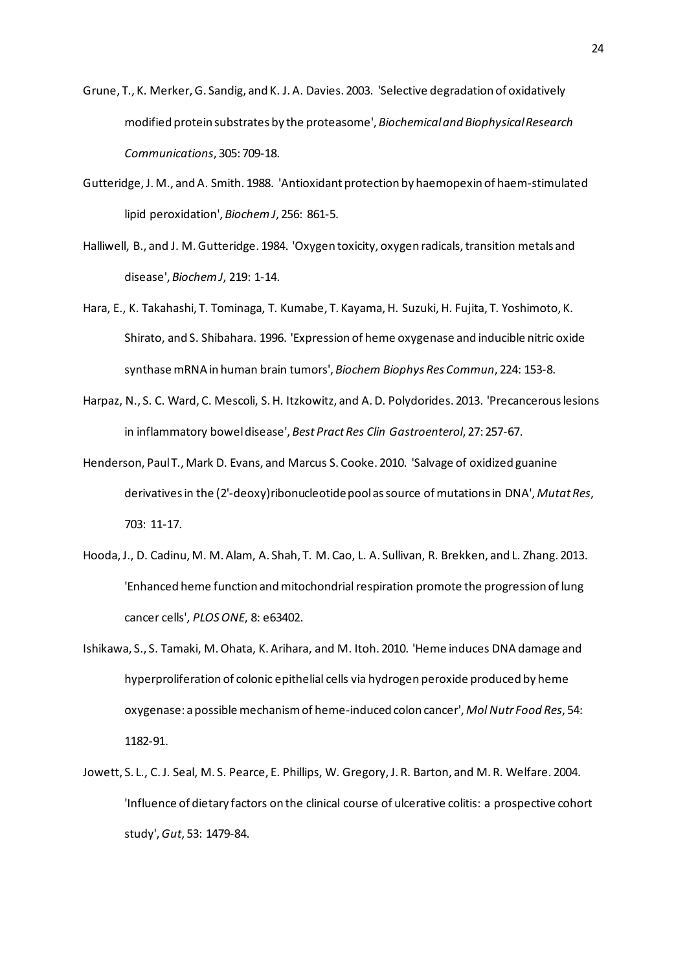- Grune, T., K. Merker, G. Sandig, and K. J. A. Davies. 2003. 'Selective degradation of oxidatively modified protein substrates by the proteasome', *Biochemical and Biophysical Research Communications*, 305: 709-18.
- Gutteridge, J. M., and A. Smith. 1988. 'Antioxidant protection by haemopexin of haem-stimulated lipid peroxidation', *Biochem J*, 256: 861-5.
- Halliwell, B., and J. M. Gutteridge. 1984. 'Oxygen toxicity, oxygen radicals, transition metals and disease', *Biochem J*, 219: 1-14.
- Hara, E., K. Takahashi, T. Tominaga, T. Kumabe, T. Kayama, H. Suzuki, H. Fujita, T. Yoshimoto, K. Shirato, and S. Shibahara. 1996. 'Expression of heme oxygenase and inducible nitric oxide synthase mRNA in human brain tumors', *Biochem Biophys Res Commun*, 224: 153-8.
- Harpaz, N., S. C. Ward, C. Mescoli, S. H. Itzkowitz, and A. D. Polydorides. 2013. 'Precancerous lesions in inflammatory bowel disease', *Best Pract Res Clin Gastroenterol*, 27: 257-67.
- Henderson, Paul T., Mark D. Evans, and Marcus S. Cooke. 2010. 'Salvage of oxidized guanine derivatives in the (2'-deoxy)ribonucleotide pool assource of mutations in DNA', *Mutat Res*, 703: 11-17.
- Hooda, J., D. Cadinu, M. M. Alam, A. Shah, T. M. Cao, L. A. Sullivan, R. Brekken, and L. Zhang. 2013. 'Enhanced heme function and mitochondrial respiration promote the progression of lung cancer cells', *PLOS ONE*, 8: e63402.
- Ishikawa, S., S. Tamaki, M. Ohata, K. Arihara, and M. Itoh. 2010. 'Heme induces DNA damage and hyperproliferation of colonic epithelial cells via hydrogen peroxide produced by heme oxygenase: a possible mechanism of heme-induced colon cancer', *Mol Nutr Food Res*, 54: 1182-91.
- Jowett, S. L., C. J. Seal, M. S. Pearce, E. Phillips, W. Gregory, J. R. Barton, and M. R. Welfare. 2004. 'Influence of dietary factors on the clinical course of ulcerative colitis: a prospective cohort study', *Gut*, 53: 1479-84.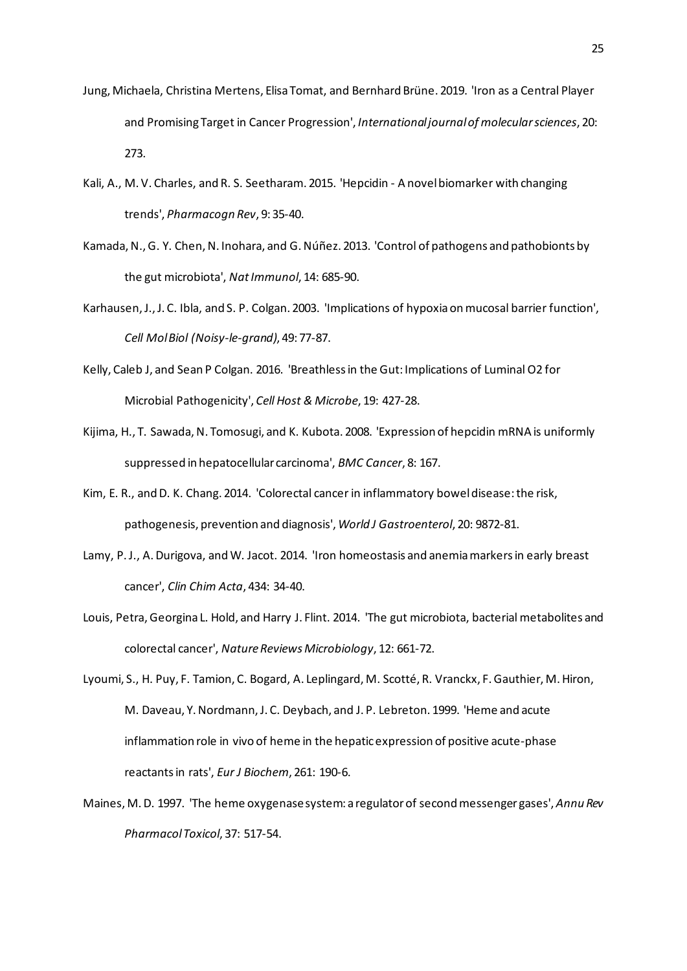- Jung, Michaela, Christina Mertens, Elisa Tomat, and Bernhard Brüne. 2019. 'Iron as a Central Player and Promising Target in Cancer Progression', *International journal of molecular sciences*, 20: 273.
- Kali, A., M. V. Charles, and R. S. Seetharam. 2015. 'Hepcidin A novel biomarker with changing trends', *Pharmacogn Rev*, 9: 35-40.
- Kamada, N., G. Y. Chen, N. Inohara, and G. Núñez. 2013. 'Control of pathogens and pathobionts by the gut microbiota', *Nat Immunol*, 14: 685-90.
- Karhausen, J., J. C. Ibla, and S. P. Colgan. 2003. 'Implications of hypoxia on mucosal barrier function', *Cell Mol Biol (Noisy-le-grand)*, 49: 77-87.
- Kelly, Caleb J, and Sean P Colgan. 2016. 'Breathless in the Gut: Implications of Luminal O2 for Microbial Pathogenicity', *Cell Host & Microbe*, 19: 427-28.
- Kijima, H., T. Sawada, N. Tomosugi, and K. Kubota. 2008. 'Expression of hepcidin mRNA is uniformly suppressed in hepatocellular carcinoma', *BMC Cancer*, 8: 167.
- Kim, E. R., and D. K. Chang. 2014. 'Colorectal cancer in inflammatory bowel disease: the risk, pathogenesis, prevention and diagnosis', *World J Gastroenterol*, 20: 9872-81.
- Lamy, P. J., A. Durigova, and W. Jacot. 2014. 'Iron homeostasis and anemia markers in early breast cancer', *Clin Chim Acta*, 434: 34-40.
- Louis, Petra, Georgina L. Hold, and Harry J. Flint. 2014. 'The gut microbiota, bacterial metabolites and colorectal cancer', *Nature Reviews Microbiology*, 12: 661-72.

Lyoumi, S., H. Puy, F. Tamion, C. Bogard, A. Leplingard, M. Scotté, R. Vranckx, F. Gauthier, M. Hiron, M. Daveau, Y. Nordmann, J. C. Deybach, and J. P. Lebreton. 1999. 'Heme and acute inflammation role in vivo of heme in the hepatic expression of positive acute-phase reactants in rats', *Eur J Biochem*, 261: 190-6.

Maines, M. D. 1997. 'The heme oxygenase system: a regulator of second messenger gases', *Annu Rev Pharmacol Toxicol*, 37: 517-54.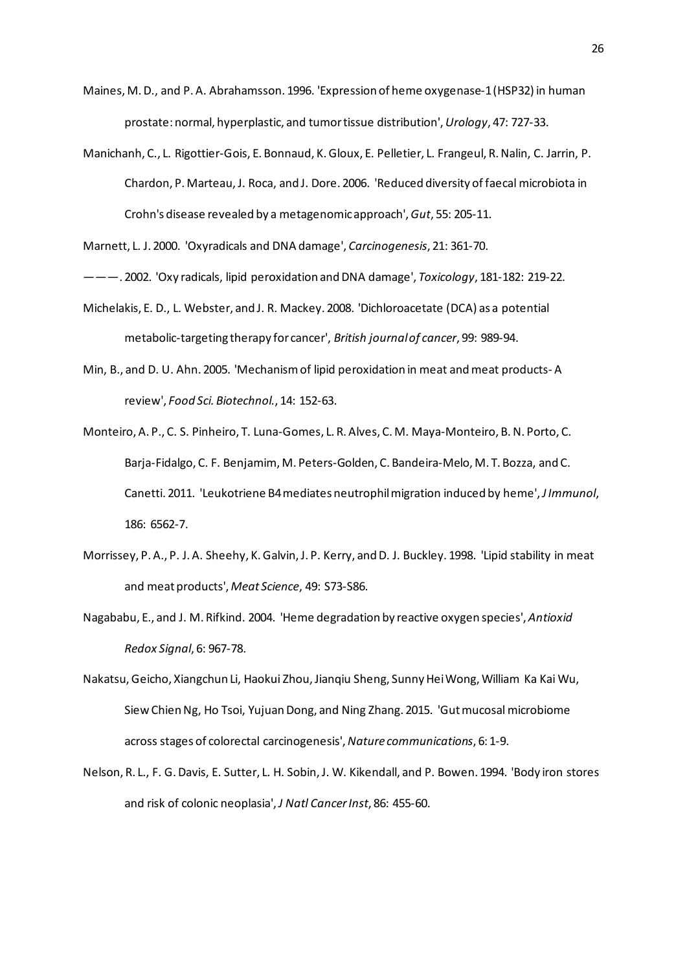- Maines, M. D., and P. A. Abrahamsson. 1996. 'Expression of heme oxygenase-1 (HSP32) in human prostate: normal, hyperplastic, and tumor tissue distribution', *Urology*, 47: 727-33.
- Manichanh, C., L. Rigottier-Gois, E. Bonnaud, K. Gloux, E. Pelletier, L. Frangeul, R. Nalin, C. Jarrin, P. Chardon, P. Marteau, J. Roca, and J. Dore. 2006. 'Reduced diversity of faecal microbiota in Crohn's disease revealed by a metagenomic approach', *Gut*, 55: 205-11.

- ———. 2002. 'Oxy radicals, lipid peroxidation and DNA damage', *Toxicology*, 181-182: 219-22.
- Michelakis, E. D., L. Webster, and J. R. Mackey. 2008. 'Dichloroacetate (DCA) as a potential metabolic-targeting therapy for cancer', *British journal of cancer*, 99: 989-94.
- Min, B., and D. U. Ahn. 2005. 'Mechanism of lipid peroxidation in meat and meat products- A review', *Food Sci. Biotechnol.*, 14: 152-63.
- Monteiro, A. P., C. S. Pinheiro, T. Luna-Gomes, L. R. Alves, C. M. Maya-Monteiro, B. N. Porto, C. Barja-Fidalgo, C. F. Benjamim, M. Peters-Golden, C. Bandeira-Melo, M. T. Bozza, and C. Canetti. 2011. 'Leukotriene B4 mediates neutrophil migration induced by heme', *J Immunol*, 186: 6562-7.
- Morrissey, P. A., P. J. A. Sheehy, K. Galvin, J. P. Kerry, and D. J. Buckley. 1998. 'Lipid stability in meat and meat products', *Meat Science*, 49: S73-S86.
- Nagababu, E., and J. M. Rifkind. 2004. 'Heme degradation by reactive oxygen species', *Antioxid Redox Signal*, 6: 967-78.
- Nakatsu, Geicho, Xiangchun Li, Haokui Zhou, Jianqiu Sheng, Sunny Hei Wong, William Ka Kai Wu, Siew Chien Ng, Ho Tsoi, Yujuan Dong, and Ning Zhang. 2015. 'Gut mucosal microbiome across stages of colorectal carcinogenesis', *Nature communications*, 6: 1-9.
- Nelson, R. L., F. G. Davis, E. Sutter, L. H. Sobin, J. W. Kikendall, and P. Bowen. 1994. 'Body iron stores and risk of colonic neoplasia', *J Natl Cancer Inst*, 86: 455-60.

Marnett, L. J. 2000. 'Oxyradicals and DNA damage', *Carcinogenesis*, 21: 361-70.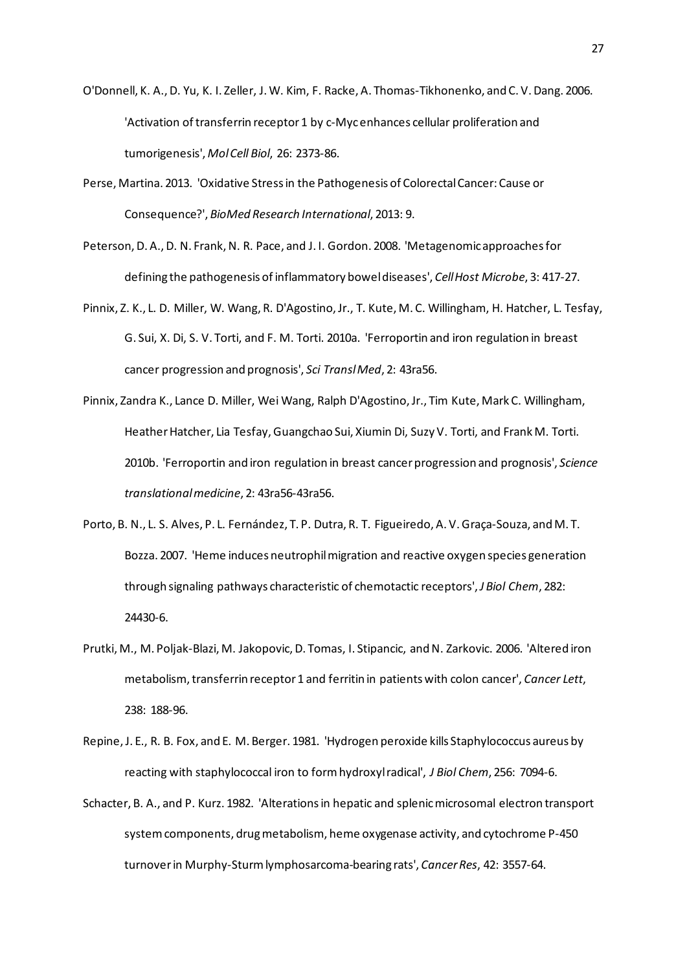O'Donnell, K. A., D. Yu, K. I. Zeller, J. W. Kim, F. Racke, A. Thomas-Tikhonenko, and C. V. Dang. 2006. 'Activation of transferrin receptor 1 by c-Myc enhances cellular proliferation and tumorigenesis', *Mol Cell Biol*, 26: 2373-86.

- Perse, Martina. 2013. 'Oxidative Stress in the Pathogenesis of Colorectal Cancer: Cause or Consequence?', *BioMed Research International*, 2013: 9.
- Peterson, D. A., D. N. Frank, N. R. Pace, and J. I. Gordon. 2008. 'Metagenomic approaches for defining the pathogenesis of inflammatory bowel diseases', *Cell Host Microbe*, 3: 417-27.
- Pinnix, Z. K., L. D. Miller, W. Wang, R. D'Agostino, Jr., T. Kute, M. C. Willingham, H. Hatcher, L. Tesfay, G. Sui, X. Di, S. V. Torti, and F. M. Torti. 2010a. 'Ferroportin and iron regulation in breast cancer progression and prognosis', *Sci Transl Med*, 2: 43ra56.
- Pinnix, Zandra K., Lance D. Miller, Wei Wang, Ralph D'Agostino, Jr., Tim Kute, Mark C. Willingham, Heather Hatcher, Lia Tesfay, Guangchao Sui, Xiumin Di, Suzy V. Torti, and Frank M. Torti. 2010b. 'Ferroportin and iron regulation in breast cancer progression and prognosis', *Science translational medicine*, 2: 43ra56-43ra56.
- Porto, B. N., L. S. Alves, P. L. Fernández, T. P. Dutra, R. T. Figueiredo, A. V. Graça-Souza, and M. T. Bozza. 2007. 'Heme induces neutrophil migration and reactive oxygen species generation through signaling pathways characteristic of chemotactic receptors', *J Biol Chem*, 282: 24430-6.
- Prutki, M., M. Poljak-Blazi, M. Jakopovic, D. Tomas, I. Stipancic, and N. Zarkovic. 2006. 'Altered iron metabolism, transferrin receptor 1 and ferritin in patients with colon cancer', *Cancer Lett*, 238: 188-96.
- Repine, J. E., R. B. Fox, and E. M. Berger. 1981. 'Hydrogen peroxide kills Staphylococcus aureus by reacting with staphylococcal iron to form hydroxyl radical', *J Biol Chem*, 256: 7094-6.
- Schacter, B. A., and P. Kurz. 1982. 'Alterations in hepatic and splenic microsomal electron transport system components, drug metabolism, heme oxygenase activity, and cytochrome P-450 turnover in Murphy-Sturm lymphosarcoma-bearing rats', *Cancer Res*, 42: 3557-64.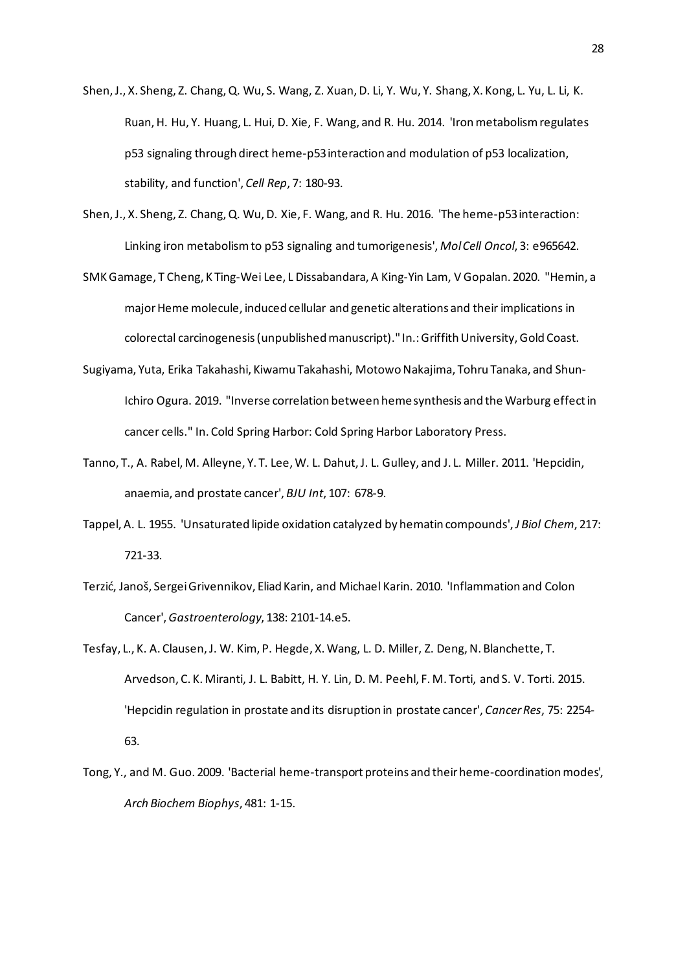- Shen, J., X. Sheng, Z. Chang, Q. Wu, S. Wang, Z. Xuan, D. Li, Y. Wu, Y. Shang, X. Kong, L. Yu, L. Li, K. Ruan, H. Hu, Y. Huang, L. Hui, D. Xie, F. Wang, and R. Hu. 2014. 'Iron metabolism regulates p53 signaling through direct heme-p53 interaction and modulation of p53 localization, stability, and function', *Cell Rep*, 7: 180-93.
- Shen, J., X. Sheng, Z. Chang, Q. Wu, D. Xie, F. Wang, and R. Hu. 2016. 'The heme-p53 interaction: Linking iron metabolism to p53 signaling and tumorigenesis', *Mol Cell Oncol*, 3: e965642.
- SMKGamage, T Cheng, K Ting-Wei Lee, L Dissabandara, A King-Yin Lam, V Gopalan. 2020. "Hemin, a major Heme molecule, induced cellular and genetic alterations and their implications in colorectal carcinogenesis (unpublished manuscript)." In.: Griffith University, Gold Coast.
- Sugiyama, Yuta, Erika Takahashi, Kiwamu Takahashi, Motowo Nakajima, Tohru Tanaka, and Shun-Ichiro Ogura. 2019. "Inverse correlation between heme synthesis and the Warburg effect in cancer cells." In. Cold Spring Harbor: Cold Spring Harbor Laboratory Press.
- Tanno, T., A. Rabel, M. Alleyne, Y. T. Lee, W. L. Dahut, J. L. Gulley, and J. L. Miller. 2011. 'Hepcidin, anaemia, and prostate cancer', *BJU Int*, 107: 678-9.
- Tappel, A. L. 1955. 'Unsaturated lipide oxidation catalyzed by hematin compounds', *J Biol Chem*, 217: 721-33.
- Terzić, Janoš, Sergei Grivennikov, Eliad Karin, and Michael Karin. 2010. 'Inflammation and Colon Cancer', *Gastroenterology*, 138: 2101-14.e5.
- Tesfay, L., K. A. Clausen, J. W. Kim, P. Hegde, X. Wang, L. D. Miller, Z. Deng, N. Blanchette, T. Arvedson, C. K. Miranti, J. L. Babitt, H. Y. Lin, D. M. Peehl, F. M. Torti, and S. V. Torti. 2015. 'Hepcidin regulation in prostate and its disruption in prostate cancer', *Cancer Res*, 75: 2254- 63.
- Tong, Y., and M. Guo. 2009. 'Bacterial heme-transport proteins and their heme-coordination modes', *Arch Biochem Biophys*, 481: 1-15.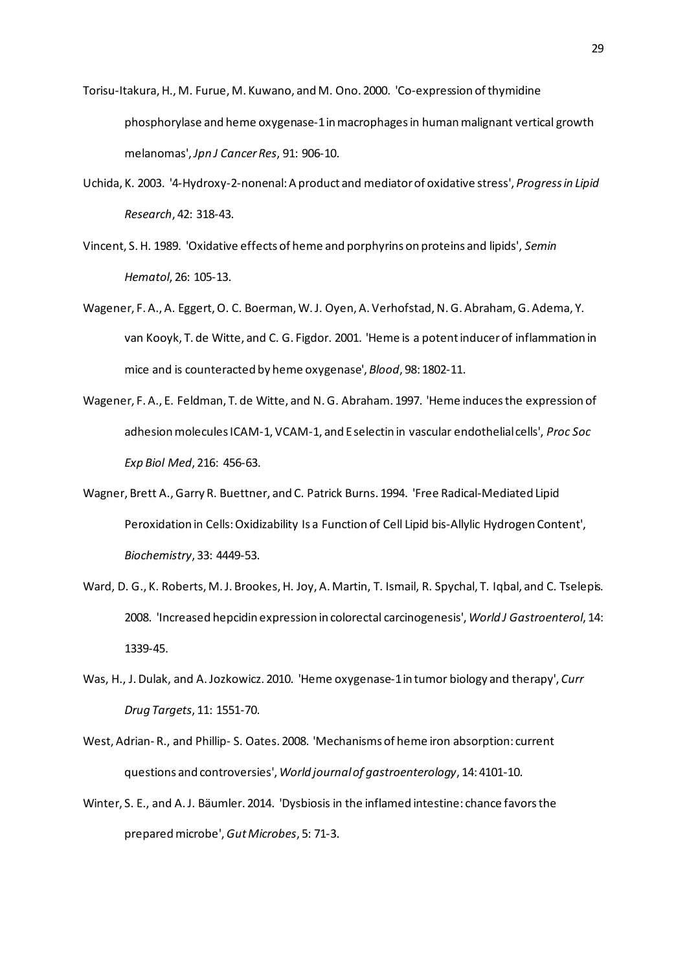Torisu-Itakura, H., M. Furue, M. Kuwano, and M. Ono. 2000. 'Co-expression of thymidine phosphorylase and heme oxygenase-1 inmacrophages in human malignant vertical growth melanomas', *Jpn J Cancer Res*, 91: 906-10.

- Uchida, K. 2003. '4-Hydroxy-2-nonenal: A product and mediator of oxidative stress', *Progress in Lipid Research*, 42: 318-43.
- Vincent, S. H. 1989. 'Oxidative effects of heme and porphyrins on proteins and lipids', *Semin Hematol*, 26: 105-13.
- Wagener, F. A., A. Eggert, O. C. Boerman, W. J. Oyen, A. Verhofstad, N. G. Abraham, G. Adema, Y. van Kooyk, T. de Witte, and C. G. Figdor. 2001. 'Heme is a potent inducer of inflammation in mice and is counteracted by heme oxygenase', *Blood*, 98: 1802-11.
- Wagener, F. A., E. Feldman, T. de Witte, and N. G. Abraham. 1997. 'Heme induces the expression of adhesion molecules ICAM-1, VCAM-1, and E selectin in vascular endothelial cells', *Proc Soc Exp Biol Med*, 216: 456-63.
- Wagner, Brett A., Garry R. Buettner, and C. Patrick Burns. 1994. 'Free Radical-Mediated Lipid Peroxidation in Cells: Oxidizability Is a Function of Cell Lipid bis-Allylic Hydrogen Content', *Biochemistry*, 33: 4449-53.
- Ward, D. G., K. Roberts, M. J. Brookes, H. Joy, A. Martin, T. Ismail, R. Spychal, T. Iqbal, and C. Tselepis. 2008. 'Increased hepcidin expression in colorectal carcinogenesis', *World J Gastroenterol*, 14: 1339-45.
- Was, H., J. Dulak, and A. Jozkowicz. 2010. 'Heme oxygenase-1 in tumor biology and therapy', *Curr Drug Targets*, 11: 1551-70.
- West, Adrian- R., and Phillip- S. Oates. 2008. 'Mechanisms of heme iron absorption: current questions and controversies', *World journal of gastroenterology*, 14: 4101-10.
- Winter, S. E., and A. J. Bäumler. 2014. 'Dysbiosis in the inflamed intestine: chance favors the prepared microbe', *Gut Microbes*, 5: 71-3.